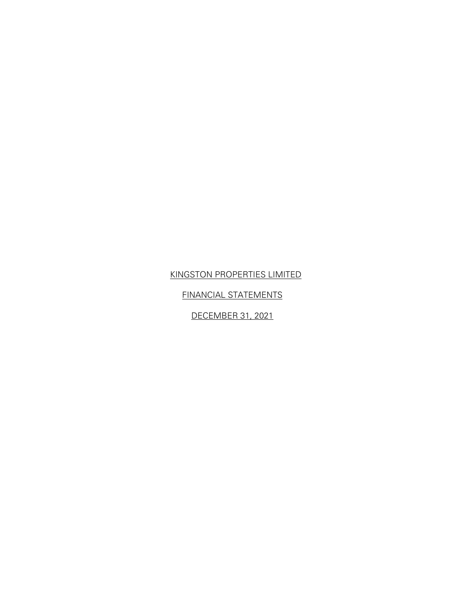FINANCIAL STATEMENTS

DECEMBER 31, 2021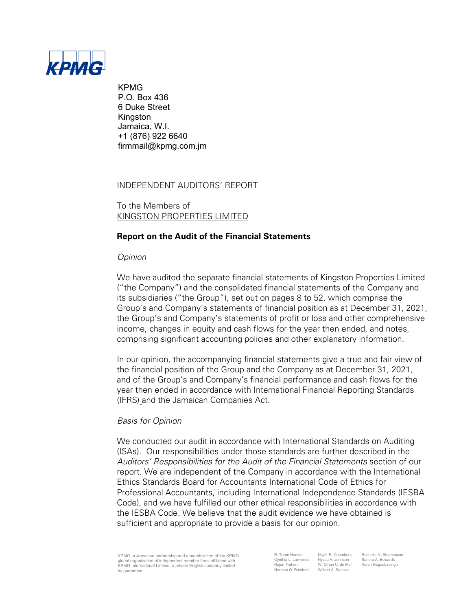

KPMG P.O. Box 436 6 Duke Street Kingston Jamaica, W.I. +1 (876) 922 6640 firmmail@kpmg.com.jm

INDEPENDENT AUDITORS' REPORT

To the Members of KINGSTON PROPERTIES LIMITED

## **Report on the Audit of the Financial Statements**

## *Opinion*

We have audited the separate financial statements of Kingston Properties Limited ("the Company") and the consolidated financial statements of the Company and its subsidiaries ("the Group"), set out on pages 8 to 52, which comprise the Group's and Company's statements of financial position as at December 31, 2021, the Group's and Company's statements of profit or loss and other comprehensive income, changes in equity and cash flows for the year then ended, and notes, comprising significant accounting policies and other explanatory information.

In our opinion, the accompanying financial statements give a true and fair view of the financial position of the Group and the Company as at December 31, 2021, and of the Group's and Company's financial performance and cash flows for the year then ended in accordance with International Financial Reporting Standards (IFRS) and the Jamaican Companies Act.

## *Basis for Opinion*

We conducted our audit in accordance with International Standards on Auditing (ISAs). Our responsibilities under those standards are further described in the *Auditors' Responsibilities for the Audit of the Financial Statements* section of our report. We are independent of the Company in accordance with the International Ethics Standards Board for Accountants International Code of Ethics for Professional Accountants, including International Independence Standards (IESBA Code), and we have fulfilled our other ethical responsibilities in accordance with the IESBA Code. We believe that the audit evidence we have obtained is sufficient and appropriate to provide a basis for our opinion.

KPMG, a Jamaican partnership and a member firm of the KPMG global organization of independent member firms affiliated with KPMG International Limited, a private English company limited by guarantee.

R. Tarun Handa Migel R. Chambers Rochelle N. Stephenson<br>Cynthia L. Lawrence Nyssa A. Johnson Sandra A. Edwards Cynthia L. Lawrence Nyssa A. Johnson Sandra A. Edwards Rajan Trehan W. Gihan C. de Mel Karen Ragoobirsingh Kajan Trenan Mark VI. Ginan C. de Me<br>Norman O. Rainford Wilbert A. Spence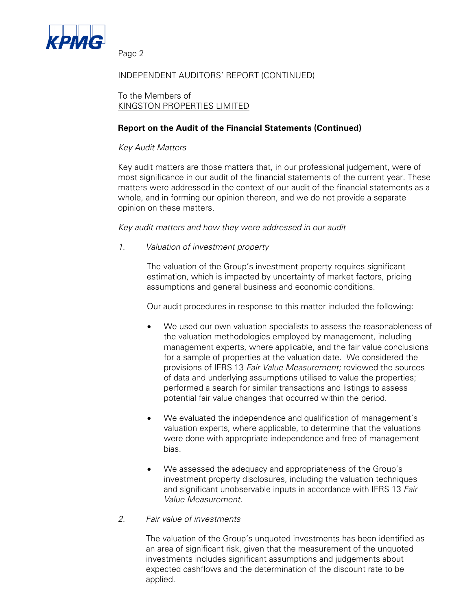

## INDEPENDENT AUDITORS' REPORT (CONTINUED)

To the Members of KINGSTON PROPERTIES LIMITED

## **Report on the Audit of the Financial Statements (Continued)**

## *Key Audit Matters*

Key audit matters are those matters that, in our professional judgement, were of most significance in our audit of the financial statements of the current year. These matters were addressed in the context of our audit of the financial statements as a whole, and in forming our opinion thereon, and we do not provide a separate opinion on these matters.

## *Key audit matters and how they were addressed in our audit*

*1. Valuation of investment property*

The valuation of the Group's investment property requires significant estimation, which is impacted by uncertainty of market factors, pricing assumptions and general business and economic conditions.

Our audit procedures in response to this matter included the following:

- We used our own valuation specialists to assess the reasonableness of the valuation methodologies employed by management, including management experts, where applicable, and the fair value conclusions for a sample of properties at the valuation date. We considered the provisions of IFRS 13 *Fair Value Measurement;* reviewed the sources of data and underlying assumptions utilised to value the properties; performed a search for similar transactions and listings to assess potential fair value changes that occurred within the period.
- We evaluated the independence and qualification of management's valuation experts, where applicable, to determine that the valuations were done with appropriate independence and free of management bias.
- We assessed the adequacy and appropriateness of the Group's investment property disclosures, including the valuation techniques and significant unobservable inputs in accordance with IFRS 13 *Fair Value Measurement.*

## *2. Fair value of investments*

The valuation of the Group's unquoted investments has been identified as an area of significant risk, given that the measurement of the unquoted investments includes significant assumptions and judgements about expected cashflows and the determination of the discount rate to be applied.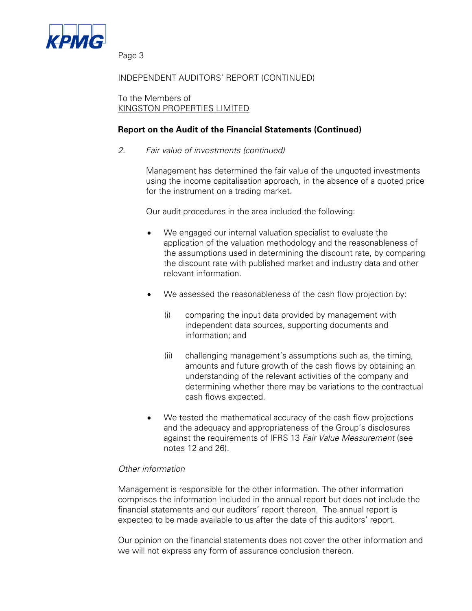

## INDEPENDENT AUDITORS' REPORT (CONTINUED)

To the Members of KINGSTON PROPERTIES LIMITED

## **Report on the Audit of the Financial Statements (Continued)**

*2. Fair value of investments (continued)* 

Management has determined the fair value of the unquoted investments using the income capitalisation approach, in the absence of a quoted price for the instrument on a trading market.

Our audit procedures in the area included the following:

- We engaged our internal valuation specialist to evaluate the application of the valuation methodology and the reasonableness of the assumptions used in determining the discount rate, by comparing the discount rate with published market and industry data and other relevant information.
- We assessed the reasonableness of the cash flow projection by:
	- (i) comparing the input data provided by management with independent data sources, supporting documents and information; and
	- (ii) challenging management's assumptions such as, the timing, amounts and future growth of the cash flows by obtaining an understanding of the relevant activities of the company and determining whether there may be variations to the contractual cash flows expected.
- We tested the mathematical accuracy of the cash flow projections and the adequacy and appropriateness of the Group's disclosures against the requirements of IFRS 13 *Fair Value Measurement* (see notes 12 and 26).

## *Other information*

Management is responsible for the other information. The other information comprises the information included in the annual report but does not include the financial statements and our auditors' report thereon. The annual report is expected to be made available to us after the date of this auditors' report.

Our opinion on the financial statements does not cover the other information and we will not express any form of assurance conclusion thereon.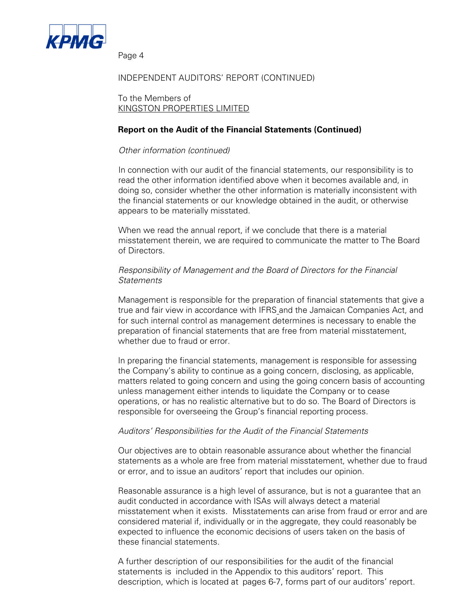

## INDEPENDENT AUDITORS' REPORT (CONTINUED)

To the Members of KINGSTON PROPERTIES LIMITED

## **Report on the Audit of the Financial Statements (Continued)**

## *Other information (continued)*

In connection with our audit of the financial statements, our responsibility is to read the other information identified above when it becomes available and, in doing so, consider whether the other information is materially inconsistent with the financial statements or our knowledge obtained in the audit, or otherwise appears to be materially misstated.

When we read the annual report, if we conclude that there is a material misstatement therein, we are required to communicate the matter to The Board of Directors.

## *Responsibility of Management and the Board of Directors for the Financial Statements*

Management is responsible for the preparation of financial statements that give a true and fair view in accordance with IFRS and the Jamaican Companies Act, and for such internal control as management determines is necessary to enable the preparation of financial statements that are free from material misstatement, whether due to fraud or error.

In preparing the financial statements, management is responsible for assessing the Company's ability to continue as a going concern, disclosing, as applicable, matters related to going concern and using the going concern basis of accounting unless management either intends to liquidate the Company or to cease operations, or has no realistic alternative but to do so. The Board of Directors is responsible for overseeing the Group's financial reporting process.

## *Auditors' Responsibilities for the Audit of the Financial Statements*

Our objectives are to obtain reasonable assurance about whether the financial statements as a whole are free from material misstatement, whether due to fraud or error, and to issue an auditors' report that includes our opinion.

Reasonable assurance is a high level of assurance, but is not a guarantee that an audit conducted in accordance with ISAs will always detect a material misstatement when it exists. Misstatements can arise from fraud or error and are considered material if, individually or in the aggregate, they could reasonably be expected to influence the economic decisions of users taken on the basis of these financial statements.

A further description of our responsibilities for the audit of the financial statements is included in the Appendix to this auditors' report. This description, which is located at pages 6-7, forms part of our auditors' report.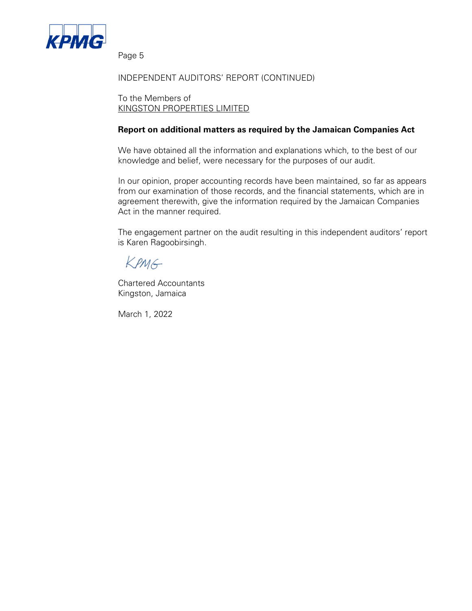

## INDEPENDENT AUDITORS' REPORT (CONTINUED)

To the Members of KINGSTON PROPERTIES LIMITED

## **Report on additional matters as required by the Jamaican Companies Act**

We have obtained all the information and explanations which, to the best of our knowledge and belief, were necessary for the purposes of our audit.

In our opinion, proper accounting records have been maintained, so far as appears from our examination of those records, and the financial statements, which are in agreement therewith, give the information required by the Jamaican Companies Act in the manner required.

The engagement partner on the audit resulting in this independent auditors' report is Karen Ragoobirsingh.

KPMG

Chartered Accountants Kingston, Jamaica

March 1, 2022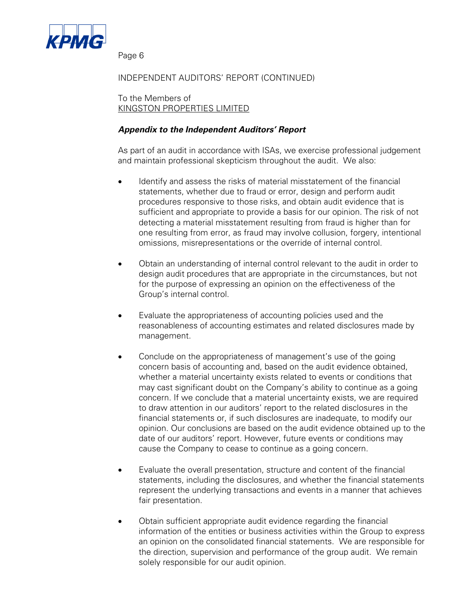

## INDEPENDENT AUDITORS' REPORT (CONTINUED)

To the Members of KINGSTON PROPERTIES LIMITED

## *Appendix to the Independent Auditors' Report*

As part of an audit in accordance with ISAs, we exercise professional judgement and maintain professional skepticism throughout the audit. We also:

- Identify and assess the risks of material misstatement of the financial statements, whether due to fraud or error, design and perform audit procedures responsive to those risks, and obtain audit evidence that is sufficient and appropriate to provide a basis for our opinion. The risk of not detecting a material misstatement resulting from fraud is higher than for one resulting from error, as fraud may involve collusion, forgery, intentional omissions, misrepresentations or the override of internal control.
- Obtain an understanding of internal control relevant to the audit in order to design audit procedures that are appropriate in the circumstances, but not for the purpose of expressing an opinion on the effectiveness of the Group's internal control.
- Evaluate the appropriateness of accounting policies used and the reasonableness of accounting estimates and related disclosures made by management.
- Conclude on the appropriateness of management's use of the going concern basis of accounting and, based on the audit evidence obtained, whether a material uncertainty exists related to events or conditions that may cast significant doubt on the Company's ability to continue as a going concern. If we conclude that a material uncertainty exists, we are required to draw attention in our auditors' report to the related disclosures in the financial statements or, if such disclosures are inadequate, to modify our opinion. Our conclusions are based on the audit evidence obtained up to the date of our auditors' report. However, future events or conditions may cause the Company to cease to continue as a going concern.
- Evaluate the overall presentation, structure and content of the financial statements, including the disclosures, and whether the financial statements represent the underlying transactions and events in a manner that achieves fair presentation.
- Obtain sufficient appropriate audit evidence regarding the financial information of the entities or business activities within the Group to express an opinion on the consolidated financial statements. We are responsible for the direction, supervision and performance of the group audit. We remain solely responsible for our audit opinion.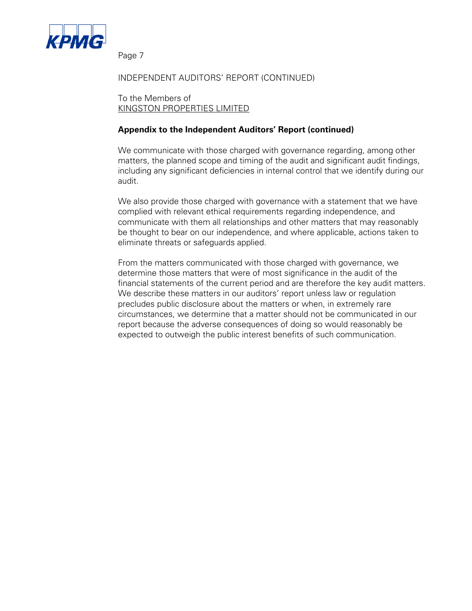

## INDEPENDENT AUDITORS' REPORT (CONTINUED)

To the Members of KINGSTON PROPERTIES LIMITED

## **Appendix to the Independent Auditors' Report (continued)**

We communicate with those charged with governance regarding, among other matters, the planned scope and timing of the audit and significant audit findings, including any significant deficiencies in internal control that we identify during our audit.

We also provide those charged with governance with a statement that we have complied with relevant ethical requirements regarding independence, and communicate with them all relationships and other matters that may reasonably be thought to bear on our independence, and where applicable, actions taken to eliminate threats or safeguards applied.

From the matters communicated with those charged with governance, we determine those matters that were of most significance in the audit of the financial statements of the current period and are therefore the key audit matters. We describe these matters in our auditors' report unless law or regulation precludes public disclosure about the matters or when, in extremely rare circumstances, we determine that a matter should not be communicated in our report because the adverse consequences of doing so would reasonably be expected to outweigh the public interest benefits of such communication.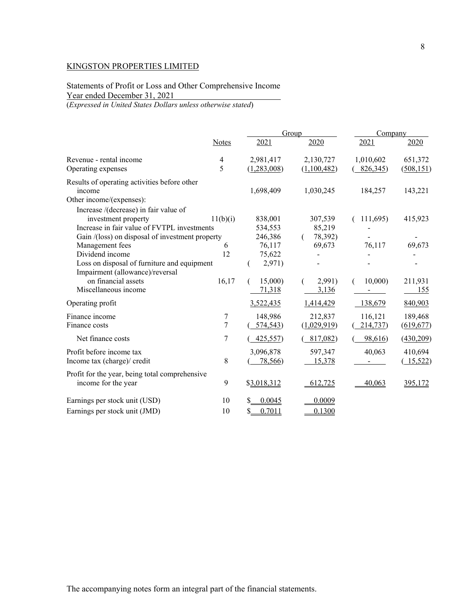Statements of Profit or Loss and Other Comprehensive Income Year ended December 31, 2021

(*Expressed in United States Dollars unless otherwise stated*)

|                                                 |                         |              | Group       | Company   |            |
|-------------------------------------------------|-------------------------|--------------|-------------|-----------|------------|
|                                                 | Notes                   | 2021         | 2020        | 2021      | 2020       |
| Revenue - rental income                         | $\overline{\mathbf{4}}$ | 2,981,417    | 2,130,727   | 1,010,602 | 651,372    |
| Operating expenses                              | 5                       | (1,283,008)  | (1,100,482) | 826,345   | (508, 151) |
| Results of operating activities before other    |                         |              |             |           |            |
| income                                          |                         | 1,698,409    | 1,030,245   | 184,257   | 143,221    |
| Other income/(expenses):                        |                         |              |             |           |            |
| Increase /(decrease) in fair value of           |                         |              |             |           |            |
| investment property                             | 11(b)(i)                | 838,001      | 307,539     | 111,695   | 415,923    |
| Increase in fair value of FVTPL investments     |                         | 534,553      | 85,219      |           |            |
| Gain /(loss) on disposal of investment property |                         | 246,386      | 78,392)     |           |            |
| Management fees                                 | 6                       | 76,117       | 69,673      | 76,117    | 69,673     |
| Dividend income                                 | 12                      | 75,622       |             |           |            |
| Loss on disposal of furniture and equipment     |                         | 2,971)       |             |           |            |
| Impairment (allowance)/reversal                 |                         |              |             |           |            |
| on financial assets                             | 16,17                   | 15,000)      | 2,991)      | 10,000    | 211,931    |
| Miscellaneous income                            |                         | 71,318       | 3,136       |           | <u>155</u> |
| Operating profit                                |                         | 3,522,435    | 1,414,429   | 138,679   | 840,903    |
| Finance income                                  | 7                       | 148,986      | 212,837     | 116,121   | 189,468    |
| Finance costs                                   | $\overline{7}$          | 574,543      | (1,029,919) | 214,737   | (619, 677) |
| Net finance costs                               | 7                       | 425,557      | 817,082)    | 98,616)   | (430, 209) |
| Profit before income tax                        |                         | 3,096,878    | 597,347     | 40,063    | 410,694    |
| Income tax (charge)/ credit                     | 8                       | 78,566)      | 15,378      |           | (15,522)   |
| Profit for the year, being total comprehensive  |                         |              |             |           |            |
| income for the year                             | 9                       | \$3,018,312  | 612,725     | 40,063    | 395,172    |
| Earnings per stock unit (USD)                   | 10                      | 0.0045       | 0.0009      |           |            |
| Earnings per stock unit (JMD)                   | 10                      | 0.7011<br>\$ | 0.1300      |           |            |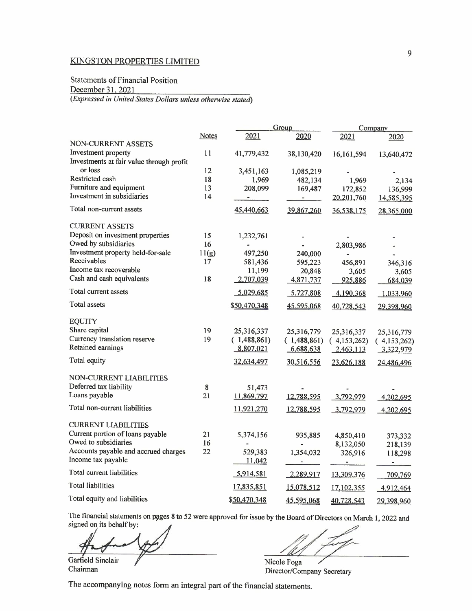## Statements of Financial Position

December 31, 2021

*(Expressed in United States Dollars unless otherwise stated)* 

|                                                                                                                  |              |                | Group                      | Company          |                            |
|------------------------------------------------------------------------------------------------------------------|--------------|----------------|----------------------------|------------------|----------------------------|
|                                                                                                                  | <b>Notes</b> | 2021           | 2020                       | 2021             | 2020                       |
| NON-CURRENT ASSETS                                                                                               |              |                |                            |                  |                            |
| Investment property<br>Investments at fair value through profit                                                  | 11           | 41,779,432     | 38,130,420                 | 16, 161, 594     | 13,640,472                 |
| or loss                                                                                                          | 12           | 3,451,163      | 1,085,219                  |                  |                            |
| Restricted cash                                                                                                  | 18           | 1,969          | 482,134                    | 1,969            | 2,134                      |
| Furniture and equipment<br>Investment in subsidiaries                                                            | 13<br>14     | 208,099        | 169,487                    | 172,852          | 136,999                    |
|                                                                                                                  |              | $\sim$         | <b>Participants</b>        | 20,201,760       | 14,585,395                 |
| Total non-current assets                                                                                         |              | 45,440,663     | 39,867,260                 | 36,538,175       | 28,365,000                 |
| <b>CURRENT ASSETS</b>                                                                                            |              |                |                            |                  |                            |
| Deposit on investment properties                                                                                 | 15           | 1,232,761      |                            |                  |                            |
| Owed by subsidiaries                                                                                             | 16           | $\blacksquare$ |                            | 2,803,986        |                            |
| Investment property held-for-sale                                                                                | 11(g)        | 497,250        | 240,000                    | $\blacksquare$   |                            |
| Receivables                                                                                                      | 17           | 581,436        | 595,223                    | 456,891          | 346,316                    |
| Income tax recoverable                                                                                           |              | 11,199         | 20,848                     | 3,605            | 3,605                      |
| Cash and cash equivalents                                                                                        | 18           | 2,707,039      | 4,871,737                  | 925,886          | 684,039                    |
| Total current assets                                                                                             |              | 5,029,685      | 5,727,808                  | 4,190,368        | 1,033,960                  |
| Total assets                                                                                                     |              | \$50,470,348   | 45,595,068                 | 40,728,543       | 29,398,960                 |
| <b>EQUITY</b>                                                                                                    |              |                |                            |                  |                            |
| Share capital                                                                                                    | 19           | 25,316,337     | 25,316,779                 | 25,316,337       | 25,316,779                 |
| Currency translation reserve                                                                                     | 19           | (1,488,861)    | (1,488,861)                | (4,153,262)      | (4,153,262)                |
| Retained earnings                                                                                                |              | 8,807,021      | 6,688,638                  | 2,463,113        | 3,322,979                  |
| Total equity                                                                                                     |              | 32,634,497     | 30,516,556                 | 23,626,188       | 24,486,496                 |
| <b>NON-CURRENT LIABILITIES</b>                                                                                   |              |                |                            |                  |                            |
| Deferred tax liability                                                                                           | 8            |                |                            |                  |                            |
| Loans payable                                                                                                    | 21           | 51,473         |                            |                  |                            |
|                                                                                                                  |              | 11,869,797     | 12,788,595                 | 3,792,979        | 4,202,695                  |
| Total non-current liabilities                                                                                    |              | 11,921,270     | 12,788,595                 | 3,792,979        | 4,202,695                  |
| <b>CURRENT LIABILITIES</b>                                                                                       |              |                |                            |                  |                            |
| Current portion of loans payable                                                                                 | 21           | 5,374,156      | 935,885                    | 4,850,410        | 373,332                    |
| Owed to subsidiaries                                                                                             | 16           |                | $\overline{\phantom{a}}$   | 8,132,050        | 218,139                    |
| Accounts payable and accrued charges                                                                             | 22           | 529,383        | 1,354,032                  | 326,916          | 118,298                    |
| Income tax payable                                                                                               |              | 11,042         |                            | $\sim$ 100 $\mu$ | $\tau$ . The set of $\tau$ |
| Total current liabilities                                                                                        |              | 5,914,581      | 2,289,917                  | 13,309,376       | 709,769                    |
| <b>Total liabilities</b>                                                                                         |              | 17,835,851     | 15,078,512                 | 17,102,355       | 4,912,464                  |
| Total equity and liabilities                                                                                     |              | \$50,470,348   | 45,595,068                 | 40,728,543       | 29,398,960                 |
| The financial statements on pages 8 to 52 were approved for issue by the Board of Directors on March 1, 2022 and |              |                |                            |                  |                            |
| signed on its behalf by:                                                                                         |              |                |                            |                  |                            |
|                                                                                                                  |              |                |                            |                  |                            |
|                                                                                                                  |              |                |                            |                  |                            |
|                                                                                                                  |              |                |                            |                  |                            |
| Garfield Sinclair                                                                                                |              |                | Nicole Foga                |                  |                            |
| Chairman                                                                                                         |              |                | Director/Company Secretary |                  |                            |
|                                                                                                                  |              |                |                            |                  |                            |

Garfield Sinclair<br>Chairman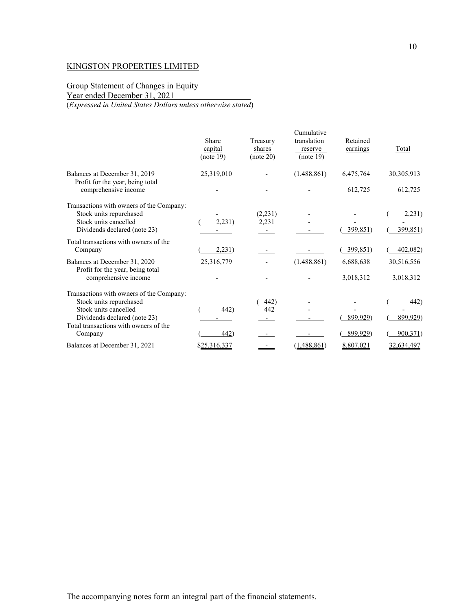# Group Statement of Changes in Equity

Year ended December 31, 2021

(*Expressed in United States Dollars unless otherwise stated*)

|                                                                   | Share<br>capital<br>(note 19) | Treasury<br>shares<br>(note 20) | Cumulative<br>translation<br>reserve<br>(note 19) | Retained<br>earnings | Total        |
|-------------------------------------------------------------------|-------------------------------|---------------------------------|---------------------------------------------------|----------------------|--------------|
| Balances at December 31, 2019<br>Profit for the year, being total | 25,319,010                    |                                 | (1,488,861)                                       | 6,475,764            | 30, 305, 913 |
| comprehensive income                                              |                               |                                 |                                                   | 612,725              | 612,725      |
| Transactions with owners of the Company:                          |                               |                                 |                                                   |                      |              |
| Stock units repurchased                                           |                               | (2,231)                         |                                                   |                      | 2,231)       |
| Stock units cancelled                                             | 2,231)                        | 2,231                           |                                                   |                      |              |
| Dividends declared (note 23)                                      |                               |                                 |                                                   | 399,851)             | 399,851)     |
| Total transactions with owners of the<br>Company                  | 2,231)                        |                                 |                                                   | 399,851)             | 402,082)     |
| Balances at December 31, 2020<br>Profit for the year, being total | 25,316,779                    |                                 | (1,488,861)                                       | 6,688,638            | 30,516,556   |
| comprehensive income                                              |                               |                                 |                                                   | 3,018,312            | 3,018,312    |
| Transactions with owners of the Company:                          |                               |                                 |                                                   |                      |              |
| Stock units repurchased                                           |                               | 442)                            |                                                   |                      | 442)         |
| Stock units cancelled                                             | 442)                          | 442                             |                                                   |                      |              |
| Dividends declared (note 23)                                      |                               |                                 |                                                   | 899,929)             | 899,929)     |
| Total transactions with owners of the<br>Company                  | 442)                          |                                 |                                                   | 899,929)             | 900,371)     |
| Balances at December 31, 2021                                     | \$25,316,337                  |                                 | (1,488,861)                                       | 8,807,021            | 32,634,497   |
|                                                                   |                               |                                 |                                                   |                      |              |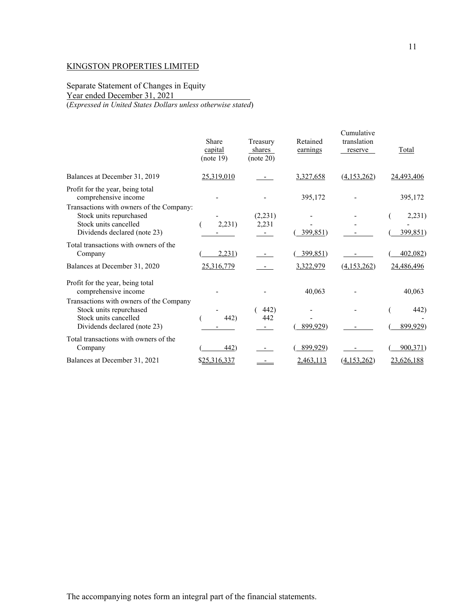Separate Statement of Changes in Equity

Year ended December 31, 2021

(*Expressed in United States Dollars unless otherwise stated*)

|                                                                                                                             | Share<br>capital<br>(note 19) | Treasury<br>shares<br>(note 20) | Retained<br>earnings | Cumulative<br>translation<br>reserve | Total              |
|-----------------------------------------------------------------------------------------------------------------------------|-------------------------------|---------------------------------|----------------------|--------------------------------------|--------------------|
| Balances at December 31, 2019                                                                                               | 25,319,010                    |                                 | 3,327,658            | (4,153,262)                          | 24,493,406         |
| Profit for the year, being total<br>comprehensive income<br>Transactions with owners of the Company:                        |                               |                                 | 395,172              |                                      | 395,172            |
| Stock units repurchased<br>Stock units cancelled<br>Dividends declared (note 23)                                            | 2,231)                        | (2,231)<br>2,231                | 399,851)             |                                      | 2,231)<br>399,851) |
| Total transactions with owners of the<br>Company                                                                            | 2,231)                        |                                 | 399,851)             |                                      | 402,082)           |
| Balances at December 31, 2020                                                                                               | 25,316,779                    |                                 | 3,322,979            | (4,153,262)                          | 24,486,496         |
| Profit for the year, being total<br>comprehensive income                                                                    |                               |                                 | 40,063               |                                      | 40,063             |
| Transactions with owners of the Company<br>Stock units repurchased<br>Stock units cancelled<br>Dividends declared (note 23) | 442)                          | 442)<br>442                     | 899,929)             |                                      | 442)<br>899,929)   |
| Total transactions with owners of the<br>Company                                                                            | 442)                          |                                 | 899,929)             |                                      | 900,371)           |
| Balances at December 31, 2021                                                                                               | \$25,316,337                  |                                 | 2,463,113            | (4.153.262)                          | 23,626,188         |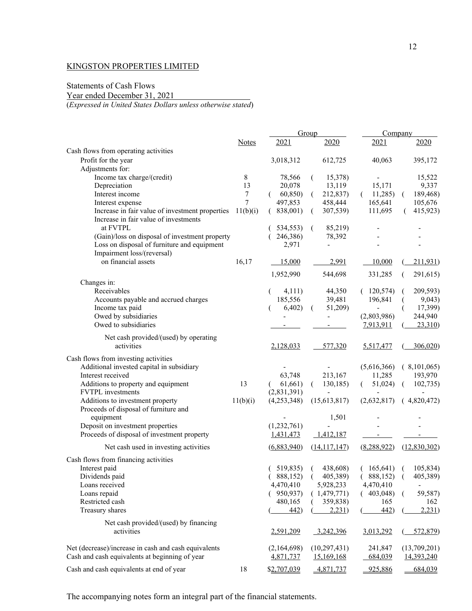# Statements of Cash Flows

Year ended December 31, 2021

(*Expressed in United States Dollars unless otherwise stated*)

|                                                      |              |             | Group               | Company        |                            |
|------------------------------------------------------|--------------|-------------|---------------------|----------------|----------------------------|
|                                                      | <b>Notes</b> | 2021        | 2020                | 2021           | 2020                       |
| Cash flows from operating activities                 |              |             |                     |                |                            |
| Profit for the year                                  |              | 3,018,312   | 612,725             | 40,063         | 395,172                    |
| Adjustments for:                                     |              |             |                     |                |                            |
| Income tax charge/(credit)                           | 8            | 78,566      | 15,378)             |                | 15,522                     |
| Depreciation                                         | 13           | 20,078      | 13,119              | 15,171         | 9,337                      |
| Interest income                                      | 7            | 60,850)     | 212,837)<br>€       | 11,285         | 189,468)<br>(              |
| Interest expense                                     | 7            | 497,853     | 458,444             | 165,641        | 105,676                    |
| Increase in fair value of investment properties      | 11(b)(i)     | 838,001)    | 307,539)            | 111,695        | 415,923)                   |
| Increase in fair value of investments                |              |             |                     |                |                            |
| at FVTPL                                             |              | 534,553)    | 85,219)             |                |                            |
| (Gain)/loss on disposal of investment property       |              | 246,386)    | 78,392              |                |                            |
| Loss on disposal of furniture and equipment          |              | 2,971       |                     |                |                            |
| Impairment loss/(reversal)                           |              |             |                     |                |                            |
| on financial assets                                  | 16,17        | 15,000      | 2,991               | 10,000         | 211,931)                   |
|                                                      |              | 1,952,990   | 544,698             | 331,285        | 291,615)                   |
| Changes in:                                          |              |             |                     |                |                            |
| Receivables                                          |              | 4,111)      | 44,350              | (120,574)      | 209,593)                   |
| Accounts payable and accrued charges                 |              | 185,556     | 39,481              | 196,841        | 9,043)                     |
| Income tax paid                                      |              | 6,402)      | 51,209)             | $\blacksquare$ | 17,399)                    |
| Owed by subsidiaries                                 |              |             |                     | (2,803,986)    | 244,940                    |
| Owed to subsidiaries                                 |              |             |                     | 7,913,911      | 23,310                     |
|                                                      |              |             |                     |                |                            |
| Net cash provided/(used) by operating                |              |             |                     |                |                            |
| activities                                           |              | 2,128,033   | 577,320             | 5,517,477      | 306,020                    |
| Cash flows from investing activities                 |              |             |                     |                |                            |
| Additional invested capital in subsidiary            |              |             |                     | (5,616,366)    | (8,101,065)                |
| Interest received                                    |              | 63,748      | 213,167             | 11,285         | 193,970                    |
| Additions to property and equipment                  | 13           | 61,661)     | 130,185)<br>€       | 51,024)        | 102,735)                   |
| FVTPL investments                                    |              | (2,831,391) |                     |                |                            |
| Additions to investment property                     | 11(b)(i)     | (4,253,348) | (15,613,817)        | (2,632,817)    | (4,820,472)                |
| Proceeds of disposal of furniture and                |              |             |                     |                |                            |
| equipment                                            |              |             | 1,501               |                |                            |
| Deposit on investment properties                     |              | (1,232,761) |                     |                |                            |
| Proceeds of disposal of investment property          |              | 1,431,473   | 1,412,187           |                |                            |
| Net cash used in investing activities                |              | (6,883,940) | (14, 117, 147)      | (8, 288, 922)  | (12,830,302)               |
| Cash flows from financing activities                 |              |             |                     |                |                            |
| Interest paid                                        |              | (519,835)   | 438,608)<br>(       | (165, 641)     | 105,834)<br>$\overline{a}$ |
| Dividends paid                                       |              |             | (888,152) (405,389) |                | $(888,152)$ $(405,389)$    |
| Loans received                                       |              | 4,470,410   | 5,928,233           | 4,470,410      |                            |
| Loans repaid                                         |              | (950, 937)  | (1,479,771)         | (403,048)      | 59,587)<br>(               |
| Restricted cash                                      |              | 480,165     | 359,838)            | 165            | 162                        |
| Treasury shares                                      |              | 442)        | 2,231)              | 442)           | 2,231)                     |
|                                                      |              |             |                     |                |                            |
| Net cash provided/(used) by financing                |              |             |                     |                |                            |
| activities                                           |              | 2,591,209   | 3,242,396           | 3,013,292      | 572,879)                   |
| Net (decrease)/increase in cash and cash equivalents |              | (2,164,698) | (10, 297, 431)      | 241,847        | (13,709,201)               |
| Cash and cash equivalents at beginning of year       |              | 4,871,737   | 15,169,168          | 684,039        | 14,393,240                 |
|                                                      |              |             |                     |                |                            |
| Cash and cash equivalents at end of year             | 18           | \$2,707,039 | 4,871,737           | 925,886        | 684,039                    |

The accompanying notes form an integral part of the financial statements.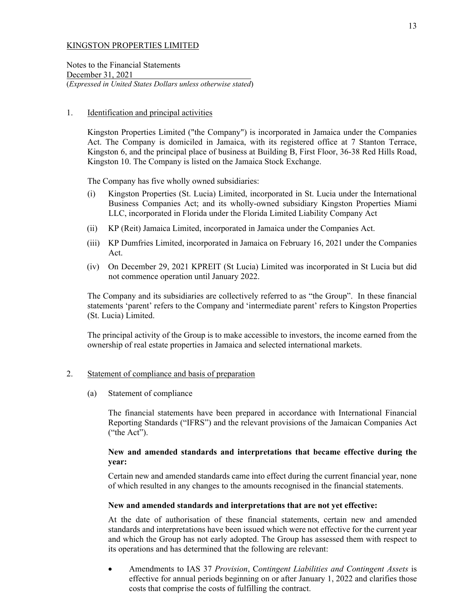Notes to the Financial Statements December 31, 2021 (*Expressed in United States Dollars unless otherwise stated*)

## 1. Identification and principal activities

Kingston Properties Limited ("the Company") is incorporated in Jamaica under the Companies Act. The Company is domiciled in Jamaica, with its registered office at 7 Stanton Terrace, Kingston 6, and the principal place of business at Building B, First Floor, 36-38 Red Hills Road, Kingston 10. The Company is listed on the Jamaica Stock Exchange.

The Company has five wholly owned subsidiaries:

- (i) Kingston Properties (St. Lucia) Limited, incorporated in St. Lucia under the International Business Companies Act; and its wholly-owned subsidiary Kingston Properties Miami LLC, incorporated in Florida under the Florida Limited Liability Company Act
- (ii) KP (Reit) Jamaica Limited, incorporated in Jamaica under the Companies Act.
- (iii) KP Dumfries Limited, incorporated in Jamaica on February 16, 2021 under the Companies Act.
- (iv) On December 29, 2021 KPREIT (St Lucia) Limited was incorporated in St Lucia but did not commence operation until January 2022.

The Company and its subsidiaries are collectively referred to as "the Group". In these financial statements 'parent' refers to the Company and 'intermediate parent' refers to Kingston Properties (St. Lucia) Limited.

The principal activity of the Group is to make accessible to investors, the income earned from the ownership of real estate properties in Jamaica and selected international markets.

## 2. Statement of compliance and basis of preparation

(a) Statement of compliance

The financial statements have been prepared in accordance with International Financial Reporting Standards ("IFRS") and the relevant provisions of the Jamaican Companies Act ("the Act").

## **New and amended standards and interpretations that became effective during the year:**

Certain new and amended standards came into effect during the current financial year, none of which resulted in any changes to the amounts recognised in the financial statements.

## **New and amended standards and interpretations that are not yet effective:**

At the date of authorisation of these financial statements, certain new and amended standards and interpretations have been issued which were not effective for the current year and which the Group has not early adopted. The Group has assessed them with respect to its operations and has determined that the following are relevant:

 Amendments to IAS 37 *Provision*, C*ontingent Liabilities and Contingent Assets* is effective for annual periods beginning on or after January 1, 2022 and clarifies those costs that comprise the costs of fulfilling the contract.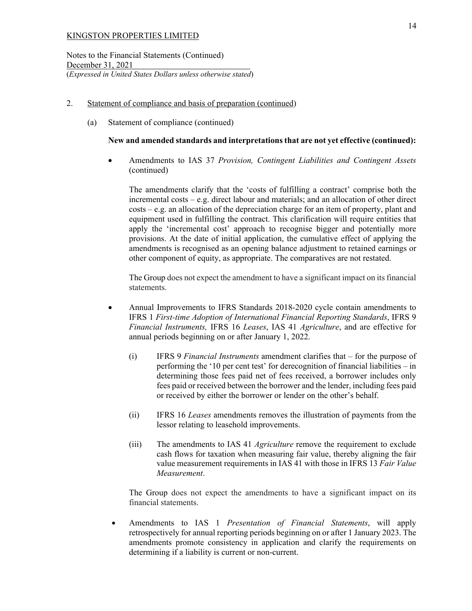Notes to the Financial Statements (Continued) December 31, 2021 (*Expressed in United States Dollars unless otherwise stated*)

## 2. Statement of compliance and basis of preparation (continued)

(a) Statement of compliance (continued)

## **New and amended standards and interpretations that are not yet effective (continued):**

 Amendments to IAS 37 *Provision, Contingent Liabilities and Contingent Assets*  (continued)

The amendments clarify that the 'costs of fulfilling a contract' comprise both the incremental costs – e.g. direct labour and materials; and an allocation of other direct costs – e.g. an allocation of the depreciation charge for an item of property, plant and equipment used in fulfilling the contract. This clarification will require entities that apply the 'incremental cost' approach to recognise bigger and potentially more provisions. At the date of initial application, the cumulative effect of applying the amendments is recognised as an opening balance adjustment to retained earnings or other component of equity, as appropriate. The comparatives are not restated.

The Group does not expect the amendment to have a significant impact on its financial statements.

- Annual Improvements to IFRS Standards 2018-2020 cycle contain amendments to IFRS 1 *First-time Adoption of International Financial Reporting Standards*, IFRS 9 *Financial Instruments,* IFRS 16 *Leases*, IAS 41 *Agriculture*, and are effective for annual periods beginning on or after January 1, 2022.
	- (i) IFRS 9 *Financial Instruments* amendment clarifies that for the purpose of performing the '10 per cent test' for derecognition of financial liabilities – in determining those fees paid net of fees received, a borrower includes only fees paid or received between the borrower and the lender, including fees paid or received by either the borrower or lender on the other's behalf.
	- (ii) IFRS 16 *Leases* amendments removes the illustration of payments from the lessor relating to leasehold improvements.
	- (iii) The amendments to IAS 41 *Agriculture* remove the requirement to exclude cash flows for taxation when measuring fair value, thereby aligning the fair value measurement requirements in IAS 41 with those in IFRS 13 *Fair Value Measurement*.

The Group does not expect the amendments to have a significant impact on its financial statements.

 Amendments to IAS 1 *Presentation of Financial Statements*, will apply retrospectively for annual reporting periods beginning on or after 1 January 2023. The amendments promote consistency in application and clarify the requirements on determining if a liability is current or non-current.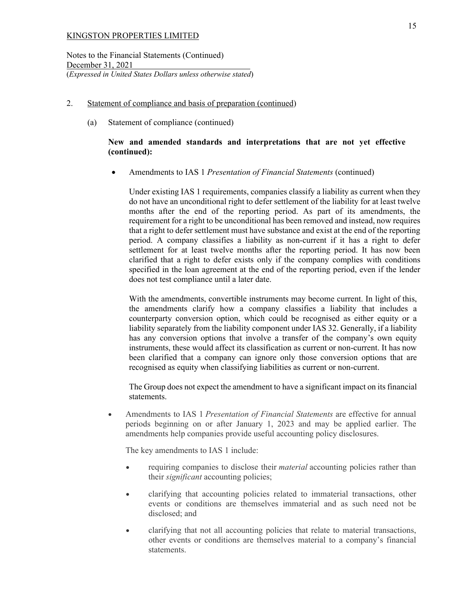Notes to the Financial Statements (Continued) December 31, 2021 (*Expressed in United States Dollars unless otherwise stated*)

## 2. Statement of compliance and basis of preparation (continued)

(a) Statement of compliance (continued)

## **New and amended standards and interpretations that are not yet effective (continued):**

Amendments to IAS 1 *Presentation of Financial Statements* (continued)

Under existing IAS 1 requirements, companies classify a liability as current when they do not have an unconditional right to defer settlement of the liability for at least twelve months after the end of the reporting period. As part of its amendments, the requirement for a right to be unconditional has been removed and instead, now requires that a right to defer settlement must have substance and exist at the end of the reporting period. A company classifies a liability as non-current if it has a right to defer settlement for at least twelve months after the reporting period. It has now been clarified that a right to defer exists only if the company complies with conditions specified in the loan agreement at the end of the reporting period, even if the lender does not test compliance until a later date.

With the amendments, convertible instruments may become current. In light of this, the amendments clarify how a company classifies a liability that includes a counterparty conversion option, which could be recognised as either equity or a liability separately from the liability component under IAS 32. Generally, if a liability has any conversion options that involve a transfer of the company's own equity instruments, these would affect its classification as current or non-current. It has now been clarified that a company can ignore only those conversion options that are recognised as equity when classifying liabilities as current or non-current.

The Group does not expect the amendment to have a significant impact on its financial statements.

 Amendments to IAS 1 *Presentation of Financial Statements* are effective for annual periods beginning on or after January 1, 2023 and may be applied earlier. The amendments help companies provide useful accounting policy disclosures.

The key amendments to IAS 1 include:

- requiring companies to disclose their *material* accounting policies rather than their *significant* accounting policies;
- clarifying that accounting policies related to immaterial transactions, other events or conditions are themselves immaterial and as such need not be disclosed; and
- clarifying that not all accounting policies that relate to material transactions, other events or conditions are themselves material to a company's financial statements.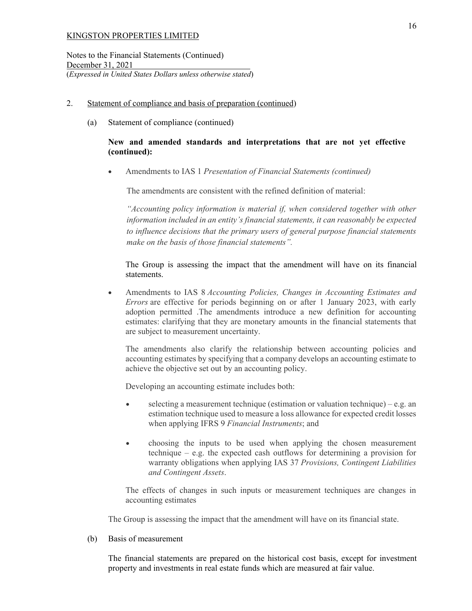Notes to the Financial Statements (Continued) December 31, 2021 (*Expressed in United States Dollars unless otherwise stated*)

- 2. Statement of compliance and basis of preparation (continued)
	- (a) Statement of compliance (continued)

## **New and amended standards and interpretations that are not yet effective (continued):**

Amendments to IAS 1 *Presentation of Financial Statements (continued)*

The amendments are consistent with the refined definition of material:

*"Accounting policy information is material if, when considered together with other information included in an entity's financial statements, it can reasonably be expected to influence decisions that the primary users of general purpose financial statements make on the basis of those financial statements".* 

The Group is assessing the impact that the amendment will have on its financial statements.

 Amendments to IAS 8 *Accounting Policies, Changes in Accounting Estimates and Errors* are effective for periods beginning on or after 1 January 2023, with early adoption permitted .The amendments introduce a new definition for accounting estimates: clarifying that they are monetary amounts in the financial statements that are subject to measurement uncertainty.

The amendments also clarify the relationship between accounting policies and accounting estimates by specifying that a company develops an accounting estimate to achieve the objective set out by an accounting policy.

Developing an accounting estimate includes both:

- $\bullet$  selecting a measurement technique (estimation or valuation technique) e.g. an estimation technique used to measure a loss allowance for expected credit losses when applying IFRS 9 *Financial Instruments*; and
- choosing the inputs to be used when applying the chosen measurement technique – e.g. the expected cash outflows for determining a provision for warranty obligations when applying IAS 37 *Provisions, Contingent Liabilities and Contingent Assets*.

The effects of changes in such inputs or measurement techniques are changes in accounting estimates

The Group is assessing the impact that the amendment will have on its financial state.

(b) Basis of measurement

The financial statements are prepared on the historical cost basis, except for investment property and investments in real estate funds which are measured at fair value.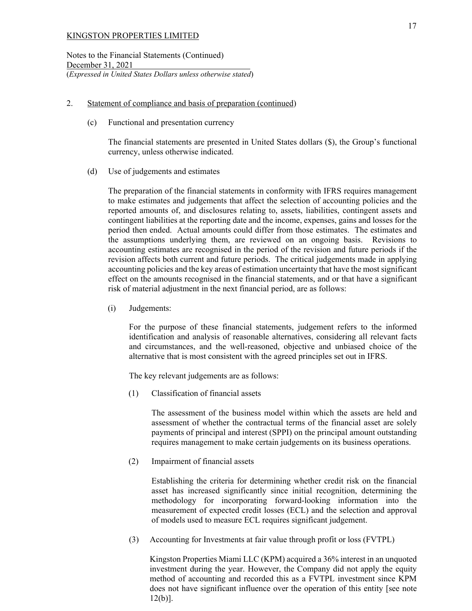Notes to the Financial Statements (Continued) December 31, 2021 (*Expressed in United States Dollars unless otherwise stated*)

## 2. Statement of compliance and basis of preparation (continued)

(c) Functional and presentation currency

The financial statements are presented in United States dollars (\$), the Group's functional currency, unless otherwise indicated.

(d) Use of judgements and estimates

The preparation of the financial statements in conformity with IFRS requires management to make estimates and judgements that affect the selection of accounting policies and the reported amounts of, and disclosures relating to, assets, liabilities, contingent assets and contingent liabilities at the reporting date and the income, expenses, gains and losses for the period then ended. Actual amounts could differ from those estimates. The estimates and the assumptions underlying them, are reviewed on an ongoing basis. Revisions to accounting estimates are recognised in the period of the revision and future periods if the revision affects both current and future periods. The critical judgements made in applying accounting policies and the key areas of estimation uncertainty that have the most significant effect on the amounts recognised in the financial statements, and or that have a significant risk of material adjustment in the next financial period, are as follows:

(i) Judgements:

For the purpose of these financial statements, judgement refers to the informed identification and analysis of reasonable alternatives, considering all relevant facts and circumstances, and the well-reasoned, objective and unbiased choice of the alternative that is most consistent with the agreed principles set out in IFRS.

The key relevant judgements are as follows:

(1) Classification of financial assets

The assessment of the business model within which the assets are held and assessment of whether the contractual terms of the financial asset are solely payments of principal and interest (SPPI) on the principal amount outstanding requires management to make certain judgements on its business operations.

(2) Impairment of financial assets

Establishing the criteria for determining whether credit risk on the financial asset has increased significantly since initial recognition, determining the methodology for incorporating forward-looking information into the measurement of expected credit losses (ECL) and the selection and approval of models used to measure ECL requires significant judgement.

(3) Accounting for Investments at fair value through profit or loss (FVTPL)

Kingston Properties Miami LLC (KPM) acquired a 36% interest in an unquoted investment during the year. However, the Company did not apply the equity method of accounting and recorded this as a FVTPL investment since KPM does not have significant influence over the operation of this entity [see note 12(b)].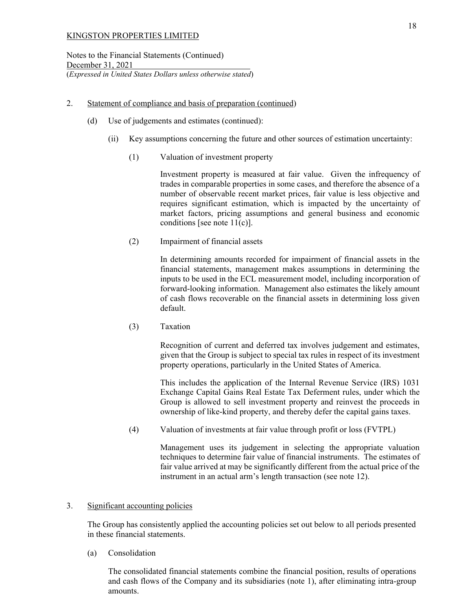## 2. Statement of compliance and basis of preparation (continued)

- (d) Use of judgements and estimates (continued):
	- (ii) Key assumptions concerning the future and other sources of estimation uncertainty:
		- (1) Valuation of investment property

Investment property is measured at fair value. Given the infrequency of trades in comparable properties in some cases, and therefore the absence of a number of observable recent market prices, fair value is less objective and requires significant estimation, which is impacted by the uncertainty of market factors, pricing assumptions and general business and economic conditions [see note  $11(c)$ ].

(2) Impairment of financial assets

In determining amounts recorded for impairment of financial assets in the financial statements, management makes assumptions in determining the inputs to be used in the ECL measurement model, including incorporation of forward-looking information. Management also estimates the likely amount of cash flows recoverable on the financial assets in determining loss given default.

(3) Taxation

Recognition of current and deferred tax involves judgement and estimates, given that the Group is subject to special tax rules in respect of its investment property operations, particularly in the United States of America.

This includes the application of the Internal Revenue Service (IRS) 1031 Exchange Capital Gains Real Estate Tax Deferment rules, under which the Group is allowed to sell investment property and reinvest the proceeds in ownership of like-kind property, and thereby defer the capital gains taxes.

(4) Valuation of investments at fair value through profit or loss (FVTPL)

Management uses its judgement in selecting the appropriate valuation techniques to determine fair value of financial instruments. The estimates of fair value arrived at may be significantly different from the actual price of the instrument in an actual arm's length transaction (see note 12).

## 3. Significant accounting policies

The Group has consistently applied the accounting policies set out below to all periods presented in these financial statements.

(a) Consolidation

The consolidated financial statements combine the financial position, results of operations and cash flows of the Company and its subsidiaries (note 1), after eliminating intra-group amounts.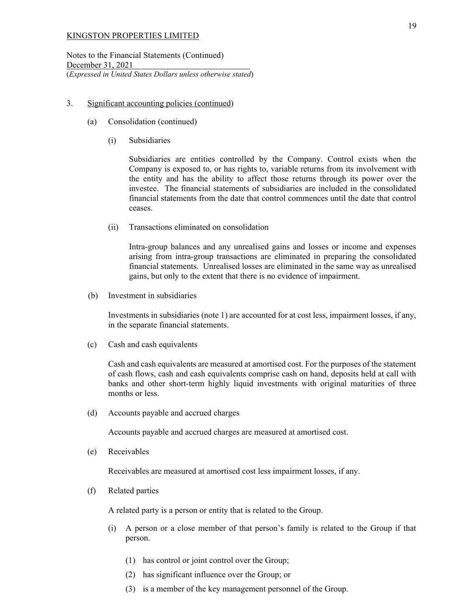Notes to the Financial Statements (Continued) December 31, 2021 (*Expressed in United States Dollars unless otherwise stated*)

## 3. Significant accounting policies (continued)

- (a) Consolidation (continued)
	- (i) Subsidiaries

Subsidiaries are entities controlled by the Company. Control exists when the Company is exposed to, or has rights to, variable returns from its involvement with the entity and has the ability to affect those returns through its power over the investee. The financial statements of subsidiaries are included in the consolidated financial statements from the date that control commences until the date that control ceases.

(ii) Transactions eliminated on consolidation

Intra-group balances and any unrealised gains and losses or income and expenses arising from intra-group transactions are eliminated in preparing the consolidated financial statements. Unrealised losses are eliminated in the same way as unrealised gains, but only to the extent that there is no evidence of impairment.

(b) Investment in subsidiaries

Investments in subsidiaries (note 1) are accounted for at cost less, impairment losses, if any, in the separate financial statements.

(c) Cash and cash equivalents

Cash and cash equivalents are measured at amortised cost. For the purposes of the statement of cash flows, cash and cash equivalents comprise cash on hand, deposits held at call with banks and other short-term highly liquid investments with original maturities of three months or less.

(d) Accounts payable and accrued charges

Accounts payable and accrued charges are measured at amortised cost.

(e) Receivables

Receivables are measured at amortised cost less impairment losses, if any.

(f) Related parties

A related party is a person or entity that is related to the Group.

- (i) A person or a close member of that person's family is related to the Group if that person.
	- (1) has control or joint control over the Group;
	- (2) has significant influence over the Group; or
	- (3) is a member of the key management personnel of the Group.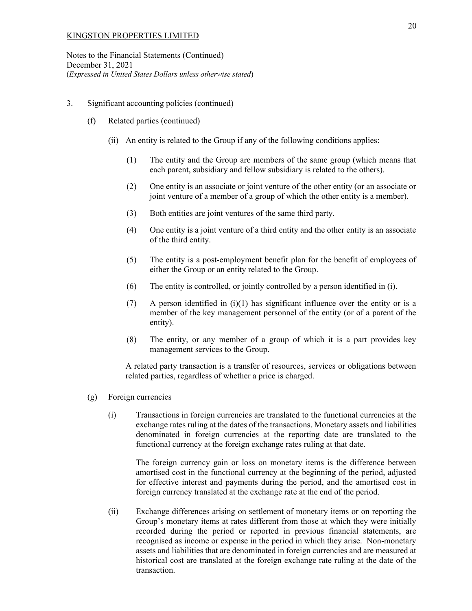Notes to the Financial Statements (Continued) December 31, 2021 (*Expressed in United States Dollars unless otherwise stated*)

## 3. Significant accounting policies (continued)

- (f) Related parties (continued)
	- (ii) An entity is related to the Group if any of the following conditions applies:
		- (1) The entity and the Group are members of the same group (which means that each parent, subsidiary and fellow subsidiary is related to the others).
		- (2) One entity is an associate or joint venture of the other entity (or an associate or joint venture of a member of a group of which the other entity is a member).
		- (3) Both entities are joint ventures of the same third party.
		- (4) One entity is a joint venture of a third entity and the other entity is an associate of the third entity.
		- (5) The entity is a post-employment benefit plan for the benefit of employees of either the Group or an entity related to the Group.
		- (6) The entity is controlled, or jointly controlled by a person identified in (i).
		- (7) A person identified in (i)(1) has significant influence over the entity or is a member of the key management personnel of the entity (or of a parent of the entity).
		- (8) The entity, or any member of a group of which it is a part provides key management services to the Group.

A related party transaction is a transfer of resources, services or obligations between related parties, regardless of whether a price is charged.

- (g) Foreign currencies
	- (i) Transactions in foreign currencies are translated to the functional currencies at the exchange rates ruling at the dates of the transactions. Monetary assets and liabilities denominated in foreign currencies at the reporting date are translated to the functional currency at the foreign exchange rates ruling at that date.

The foreign currency gain or loss on monetary items is the difference between amortised cost in the functional currency at the beginning of the period, adjusted for effective interest and payments during the period, and the amortised cost in foreign currency translated at the exchange rate at the end of the period.

(ii) Exchange differences arising on settlement of monetary items or on reporting the Group's monetary items at rates different from those at which they were initially recorded during the period or reported in previous financial statements, are recognised as income or expense in the period in which they arise. Non-monetary assets and liabilities that are denominated in foreign currencies and are measured at historical cost are translated at the foreign exchange rate ruling at the date of the transaction.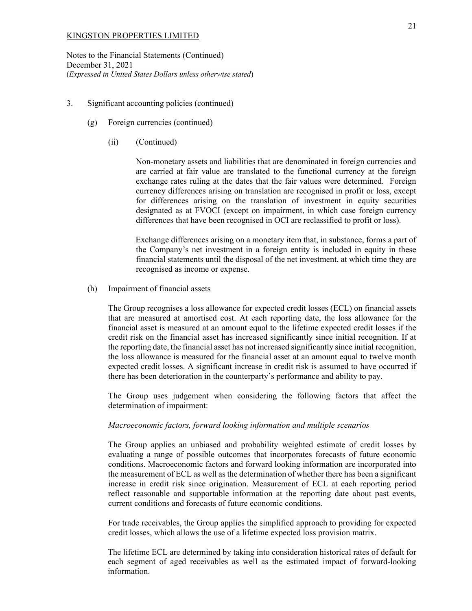Notes to the Financial Statements (Continued) December 31, 2021 (*Expressed in United States Dollars unless otherwise stated*)

#### 3. Significant accounting policies (continued)

- (g) Foreign currencies (continued)
	- (ii) (Continued)

Non-monetary assets and liabilities that are denominated in foreign currencies and are carried at fair value are translated to the functional currency at the foreign exchange rates ruling at the dates that the fair values were determined. Foreign currency differences arising on translation are recognised in profit or loss, except for differences arising on the translation of investment in equity securities designated as at FVOCI (except on impairment, in which case foreign currency differences that have been recognised in OCI are reclassified to profit or loss).

Exchange differences arising on a monetary item that, in substance, forms a part of the Company's net investment in a foreign entity is included in equity in these financial statements until the disposal of the net investment, at which time they are recognised as income or expense.

(h) Impairment of financial assets

The Group recognises a loss allowance for expected credit losses (ECL) on financial assets that are measured at amortised cost. At each reporting date, the loss allowance for the financial asset is measured at an amount equal to the lifetime expected credit losses if the credit risk on the financial asset has increased significantly since initial recognition. If at the reporting date, the financial asset has not increased significantly since initial recognition, the loss allowance is measured for the financial asset at an amount equal to twelve month expected credit losses. A significant increase in credit risk is assumed to have occurred if there has been deterioration in the counterparty's performance and ability to pay.

The Group uses judgement when considering the following factors that affect the determination of impairment:

## *Macroeconomic factors, forward looking information and multiple scenarios*

The Group applies an unbiased and probability weighted estimate of credit losses by evaluating a range of possible outcomes that incorporates forecasts of future economic conditions. Macroeconomic factors and forward looking information are incorporated into the measurement of ECL as well as the determination of whether there has been a significant increase in credit risk since origination. Measurement of ECL at each reporting period reflect reasonable and supportable information at the reporting date about past events, current conditions and forecasts of future economic conditions.

For trade receivables, the Group applies the simplified approach to providing for expected credit losses, which allows the use of a lifetime expected loss provision matrix.

The lifetime ECL are determined by taking into consideration historical rates of default for each segment of aged receivables as well as the estimated impact of forward-looking information.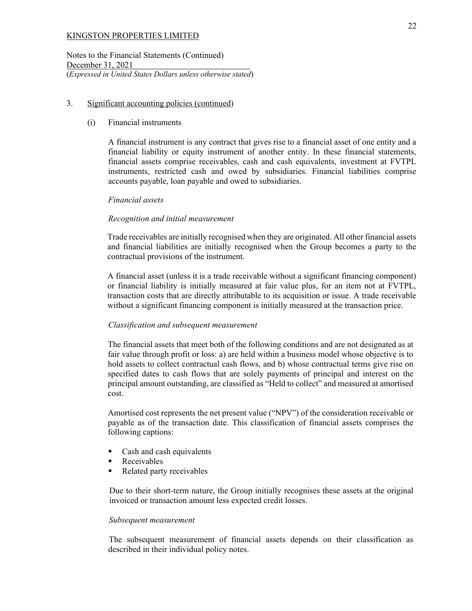Notes to the Financial Statements (Continued) December 31, 2021 (*Expressed in United States Dollars unless otherwise stated*)

## 3. Significant accounting policies (continued)

## (i) Financial instruments

 A financial instrument is any contract that gives rise to a financial asset of one entity and a financial liability or equity instrument of another entity. In these financial statements, financial assets comprise receivables, cash and cash equivalents, investment at FVTPL instruments, restricted cash and owed by subsidiaries. Financial liabilities comprise accounts payable, loan payable and owed to subsidiaries.

## *Financial assets*

## *Recognition and initial measurement*

Trade receivables are initially recognised when they are originated. All other financial assets and financial liabilities are initially recognised when the Group becomes a party to the contractual provisions of the instrument.

A financial asset (unless it is a trade receivable without a significant financing component) or financial liability is initially measured at fair value plus, for an item not at FVTPL, transaction costs that are directly attributable to its acquisition or issue. A trade receivable without a significant financing component is initially measured at the transaction price.

## *Classification and subsequent measurement*

The financial assets that meet both of the following conditions and are not designated as at fair value through profit or loss: a) are held within a business model whose objective is to hold assets to collect contractual cash flows, and b) whose contractual terms give rise on specified dates to cash flows that are solely payments of principal and interest on the principal amount outstanding, are classified as "Held to collect" and measured at amortised cost.

Amortised cost represents the net present value ("NPV") of the consideration receivable or payable as of the transaction date. This classification of financial assets comprises the following captions:

- **Cash and cash equivalents**
- **Receivables**
- Related party receivables

Due to their short-term nature, the Group initially recognises these assets at the original invoiced or transaction amount less expected credit losses.

## *Subsequent measurement*

The subsequent measurement of financial assets depends on their classification as described in their individual policy notes.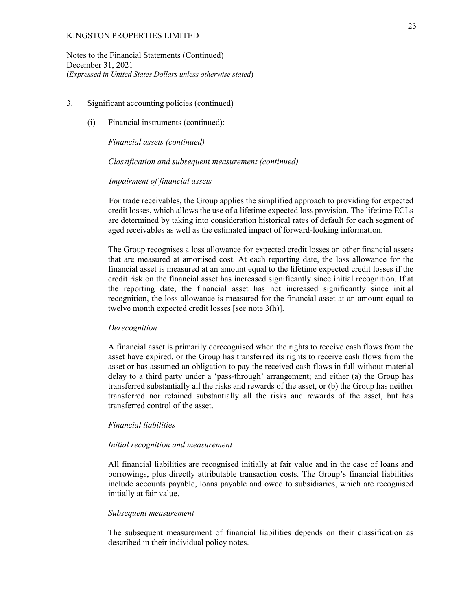Notes to the Financial Statements (Continued) December 31, 2021 (*Expressed in United States Dollars unless otherwise stated*)

#### 3. Significant accounting policies (continued)

(i) Financial instruments (continued):

*Financial assets (continued)*

*Classification and subsequent measurement (continued)* 

*Impairment of financial assets* 

For trade receivables, the Group applies the simplified approach to providing for expected credit losses, which allows the use of a lifetime expected loss provision. The lifetime ECLs are determined by taking into consideration historical rates of default for each segment of aged receivables as well as the estimated impact of forward-looking information.

The Group recognises a loss allowance for expected credit losses on other financial assets that are measured at amortised cost. At each reporting date, the loss allowance for the financial asset is measured at an amount equal to the lifetime expected credit losses if the credit risk on the financial asset has increased significantly since initial recognition. If at the reporting date, the financial asset has not increased significantly since initial recognition, the loss allowance is measured for the financial asset at an amount equal to twelve month expected credit losses [see note 3(h)].

#### *Derecognition*

A financial asset is primarily derecognised when the rights to receive cash flows from the asset have expired, or the Group has transferred its rights to receive cash flows from the asset or has assumed an obligation to pay the received cash flows in full without material delay to a third party under a 'pass-through' arrangement; and either (a) the Group has transferred substantially all the risks and rewards of the asset, or (b) the Group has neither transferred nor retained substantially all the risks and rewards of the asset, but has transferred control of the asset.

#### *Financial liabilities*

#### *Initial recognition and measurement*

All financial liabilities are recognised initially at fair value and in the case of loans and borrowings, plus directly attributable transaction costs. The Group's financial liabilities include accounts payable, loans payable and owed to subsidiaries, which are recognised initially at fair value.

#### *Subsequent measurement*

The subsequent measurement of financial liabilities depends on their classification as described in their individual policy notes.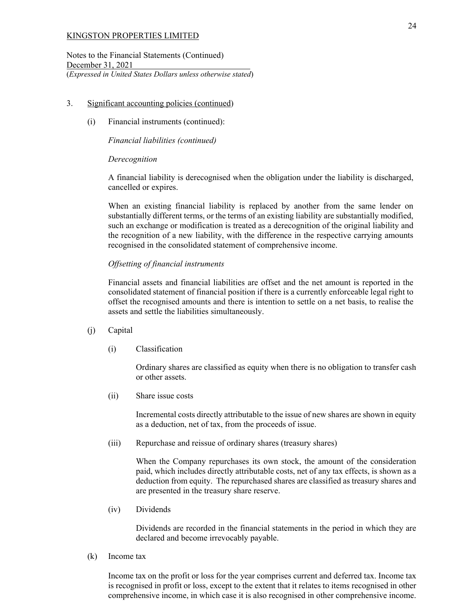Notes to the Financial Statements (Continued) December 31, 2021 (*Expressed in United States Dollars unless otherwise stated*)

## 3. Significant accounting policies (continued)

(i) Financial instruments (continued):

## *Financial liabilities (continued)*

## *Derecognition*

A financial liability is derecognised when the obligation under the liability is discharged, cancelled or expires.

When an existing financial liability is replaced by another from the same lender on substantially different terms, or the terms of an existing liability are substantially modified, such an exchange or modification is treated as a derecognition of the original liability and the recognition of a new liability, with the difference in the respective carrying amounts recognised in the consolidated statement of comprehensive income.

## *Offsetting of financial instruments*

Financial assets and financial liabilities are offset and the net amount is reported in the consolidated statement of financial position if there is a currently enforceable legal right to offset the recognised amounts and there is intention to settle on a net basis, to realise the assets and settle the liabilities simultaneously.

## (j) Capital

(i) Classification

Ordinary shares are classified as equity when there is no obligation to transfer cash or other assets.

(ii) Share issue costs

Incremental costs directly attributable to the issue of new shares are shown in equity as a deduction, net of tax, from the proceeds of issue.

(iii) Repurchase and reissue of ordinary shares (treasury shares)

When the Company repurchases its own stock, the amount of the consideration paid, which includes directly attributable costs, net of any tax effects, is shown as a deduction from equity. The repurchased shares are classified as treasury shares and are presented in the treasury share reserve.

(iv) Dividends

Dividends are recorded in the financial statements in the period in which they are declared and become irrevocably payable.

(k) Income tax

Income tax on the profit or loss for the year comprises current and deferred tax. Income tax is recognised in profit or loss, except to the extent that it relates to items recognised in other comprehensive income, in which case it is also recognised in other comprehensive income.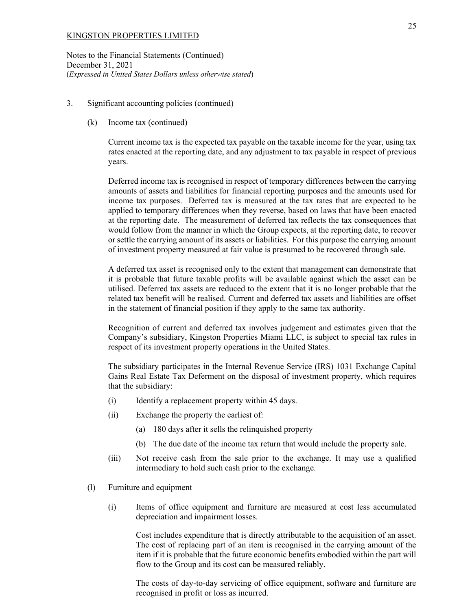Notes to the Financial Statements (Continued) December 31, 2021 (*Expressed in United States Dollars unless otherwise stated*)

## 3. Significant accounting policies (continued)

## (k) Income tax (continued)

Current income tax is the expected tax payable on the taxable income for the year, using tax rates enacted at the reporting date, and any adjustment to tax payable in respect of previous years.

Deferred income tax is recognised in respect of temporary differences between the carrying amounts of assets and liabilities for financial reporting purposes and the amounts used for income tax purposes. Deferred tax is measured at the tax rates that are expected to be applied to temporary differences when they reverse, based on laws that have been enacted at the reporting date. The measurement of deferred tax reflects the tax consequences that would follow from the manner in which the Group expects, at the reporting date, to recover or settle the carrying amount of its assets or liabilities. For this purpose the carrying amount of investment property measured at fair value is presumed to be recovered through sale.

A deferred tax asset is recognised only to the extent that management can demonstrate that it is probable that future taxable profits will be available against which the asset can be utilised. Deferred tax assets are reduced to the extent that it is no longer probable that the related tax benefit will be realised. Current and deferred tax assets and liabilities are offset in the statement of financial position if they apply to the same tax authority.

Recognition of current and deferred tax involves judgement and estimates given that the Company's subsidiary, Kingston Properties Miami LLC, is subject to special tax rules in respect of its investment property operations in the United States.

The subsidiary participates in the Internal Revenue Service (IRS) 1031 Exchange Capital Gains Real Estate Tax Deferment on the disposal of investment property, which requires that the subsidiary:

- (i) Identify a replacement property within 45 days.
- (ii) Exchange the property the earliest of:
	- (a) 180 days after it sells the relinquished property
	- (b) The due date of the income tax return that would include the property sale.
- (iii) Not receive cash from the sale prior to the exchange. It may use a qualified intermediary to hold such cash prior to the exchange.
- (l) Furniture and equipment
	- (i) Items of office equipment and furniture are measured at cost less accumulated depreciation and impairment losses.

 Cost includes expenditure that is directly attributable to the acquisition of an asset. The cost of replacing part of an item is recognised in the carrying amount of the item if it is probable that the future economic benefits embodied within the part will flow to the Group and its cost can be measured reliably.

 The costs of day-to-day servicing of office equipment, software and furniture are recognised in profit or loss as incurred.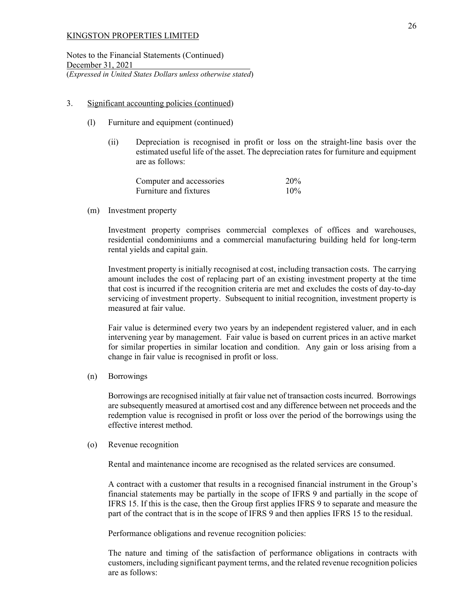Notes to the Financial Statements (Continued) December 31, 2021 (*Expressed in United States Dollars unless otherwise stated*)

## 3. Significant accounting policies (continued)

- (l) Furniture and equipment (continued)
	- (ii) Depreciation is recognised in profit or loss on the straight-line basis over the estimated useful life of the asset. The depreciation rates for furniture and equipment are as follows:

| Computer and accessories | 20% |
|--------------------------|-----|
| Furniture and fixtures   | 10% |

(m) Investment property

Investment property comprises commercial complexes of offices and warehouses, residential condominiums and a commercial manufacturing building held for long-term rental yields and capital gain.

Investment property is initially recognised at cost, including transaction costs. The carrying amount includes the cost of replacing part of an existing investment property at the time that cost is incurred if the recognition criteria are met and excludes the costs of day-to-day servicing of investment property. Subsequent to initial recognition, investment property is measured at fair value.

Fair value is determined every two years by an independent registered valuer, and in each intervening year by management. Fair value is based on current prices in an active market for similar properties in similar location and condition. Any gain or loss arising from a change in fair value is recognised in profit or loss.

(n) Borrowings

Borrowings are recognised initially at fair value net of transaction costs incurred. Borrowings are subsequently measured at amortised cost and any difference between net proceeds and the redemption value is recognised in profit or loss over the period of the borrowings using the effective interest method.

## (o) Revenue recognition

Rental and maintenance income are recognised as the related services are consumed.

A contract with a customer that results in a recognised financial instrument in the Group's financial statements may be partially in the scope of IFRS 9 and partially in the scope of IFRS 15. If this is the case, then the Group first applies IFRS 9 to separate and measure the part of the contract that is in the scope of IFRS 9 and then applies IFRS 15 to the residual.

Performance obligations and revenue recognition policies:

The nature and timing of the satisfaction of performance obligations in contracts with customers, including significant payment terms, and the related revenue recognition policies are as follows: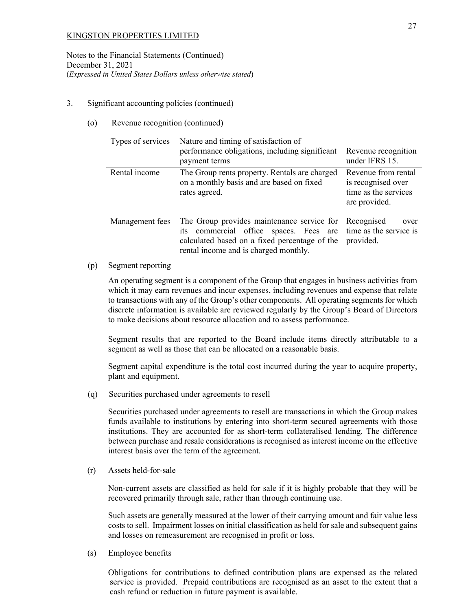Notes to the Financial Statements (Continued) December 31, 2021 (*Expressed in United States Dollars unless otherwise stated*)

## 3. Significant accounting policies (continued)

## (o) Revenue recognition (continued)

| Types of services | Nature and timing of satisfaction of<br>performance obligations, including significant<br>payment terms                                                                                                                    | Revenue recognition<br>under IFRS 15.                                              |
|-------------------|----------------------------------------------------------------------------------------------------------------------------------------------------------------------------------------------------------------------------|------------------------------------------------------------------------------------|
| Rental income     | The Group rents property. Rentals are charged<br>on a monthly basis and are based on fixed<br>rates agreed.                                                                                                                | Revenue from rental<br>is recognised over<br>time as the services<br>are provided. |
| Management fees   | The Group provides maintenance service for Recognised<br>its commercial office spaces. Fees are time as the service is<br>calculated based on a fixed percentage of the provided.<br>rental income and is charged monthly. | over                                                                               |

#### (p) Segment reporting

An operating segment is a component of the Group that engages in business activities from which it may earn revenues and incur expenses, including revenues and expense that relate to transactions with any of the Group's other components. All operating segments for which discrete information is available are reviewed regularly by the Group's Board of Directors to make decisions about resource allocation and to assess performance.

Segment results that are reported to the Board include items directly attributable to a segment as well as those that can be allocated on a reasonable basis.

Segment capital expenditure is the total cost incurred during the year to acquire property, plant and equipment.

(q) Securities purchased under agreements to resell

Securities purchased under agreements to resell are transactions in which the Group makes funds available to institutions by entering into short-term secured agreements with those institutions. They are accounted for as short-term collateralised lending. The difference between purchase and resale considerations is recognised as interest income on the effective interest basis over the term of the agreement.

(r) Assets held-for-sale

Non-current assets are classified as held for sale if it is highly probable that they will be recovered primarily through sale, rather than through continuing use.

Such assets are generally measured at the lower of their carrying amount and fair value less costs to sell. Impairment losses on initial classification as held for sale and subsequent gains and losses on remeasurement are recognised in profit or loss.

(s) Employee benefits

 Obligations for contributions to defined contribution plans are expensed as the related service is provided. Prepaid contributions are recognised as an asset to the extent that a cash refund or reduction in future payment is available.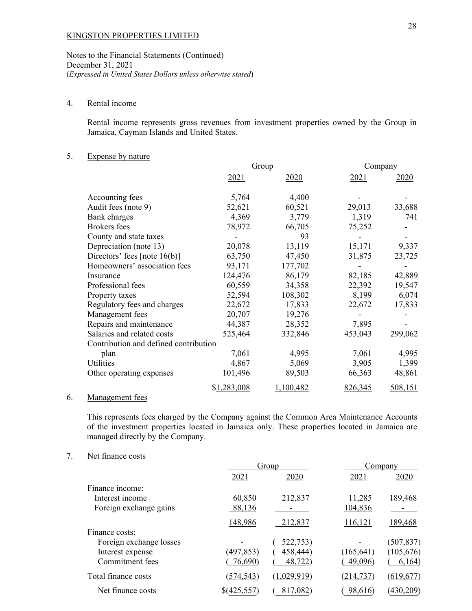Notes to the Financial Statements (Continued) December 31, 2021 (*Expressed in United States Dollars unless otherwise stated*)

## 4. Rental income

Rental income represents gross revenues from investment properties owned by the Group in Jamaica, Cayman Islands and United States.

## 5. Expense by nature

|                                       | Group       |         | Company |         |
|---------------------------------------|-------------|---------|---------|---------|
|                                       | 2021        | 2020    | 2021    | 2020    |
| Accounting fees                       | 5,764       | 4,400   |         |         |
| Audit fees (note 9)                   | 52,621      | 60,521  | 29,013  | 33,688  |
| Bank charges                          | 4,369       | 3,779   | 1,319   | 741     |
| <b>Brokers</b> fees                   | 78,972      | 66,705  | 75,252  |         |
| County and state taxes                |             | 93      |         |         |
| Depreciation (note 13)                | 20,078      | 13,119  | 15,171  | 9,337   |
| Directors' fees [note $16(b)$ ]       | 63,750      | 47,450  | 31,875  | 23,725  |
| Homeowners' association fees          | 93,171      | 177,702 |         |         |
| Insurance                             | 124,476     | 86,179  | 82,185  | 42,889  |
| Professional fees                     | 60,559      | 34,358  | 22,392  | 19,547  |
| Property taxes                        | 52,594      | 108,302 | 8,199   | 6,074   |
| Regulatory fees and charges           | 22,672      | 17,833  | 22,672  | 17,833  |
| Management fees                       | 20,707      | 19,276  |         |         |
| Repairs and maintenance               | 44,387      | 28,352  | 7,895   |         |
| Salaries and related costs            | 525,464     | 332,846 | 453,043 | 299,062 |
| Contribution and defined contribution |             |         |         |         |
| plan                                  | 7,061       | 4,995   | 7,061   | 4,995   |
| Utilities                             | 4,867       | 5,069   | 3,905   | 1,399   |
| Other operating expenses              | 101,496     | 89,503  | 66,363  | 48,861  |
| $\mathbf{r}$                          | \$1,283,008 | 100,482 | 826,345 | 508,151 |
|                                       |             |         |         |         |

#### 6. Management fees

This represents fees charged by the Company against the Common Area Maintenance Accounts of the investment properties located in Jamaica only. These properties located in Jamaica are managed directly by the Company.

## 7. Net finance costs

|                         |             | Group       | Company    |            |
|-------------------------|-------------|-------------|------------|------------|
|                         | 2021        | 2020        | 2021       | 2020       |
| Finance income:         |             |             |            |            |
| Interest income         | 60,850      | 212,837     | 11,285     | 189,468    |
| Foreign exchange gains  | 88,136      |             | 104,836    |            |
|                         | 148,986     | 212,837     | 116,121    | 189,468    |
| Finance costs:          |             |             |            |            |
| Foreign exchange losses |             | 522,753)    |            | (507, 837) |
| Interest expense        | (497, 853)  | 458,444)    | (165, 641) | (105, 676) |
| Commitment fees         | 76,690)     | 48,722)     | 49,096)    | 6,164)     |
| Total finance costs     | (574, 543)  | (1,029,919) | (214, 737) | (619, 677) |
| Net finance costs       | \$(425,557) | 817,082)    | 98,616     | (430, 209) |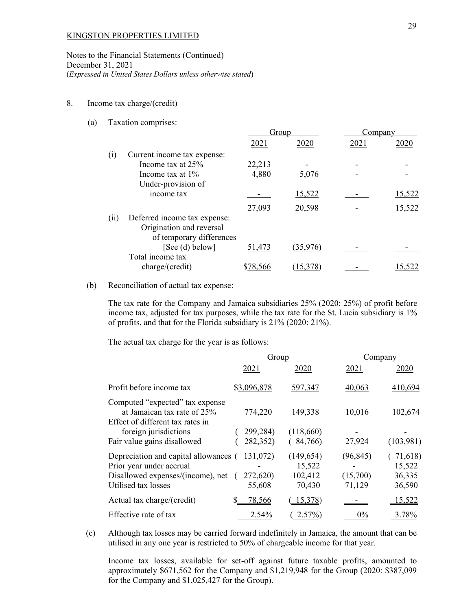## Notes to the Financial Statements (Continued) December 31, 2021 (*Expressed in United States Dollars unless otherwise stated*)

#### 8. Income tax charge/(credit)

#### (a) Taxation comprises:

|                             | Group                                                    |          |        | Company       |  |
|-----------------------------|----------------------------------------------------------|----------|--------|---------------|--|
|                             | 2021                                                     | 2020     | 2021   | 2020          |  |
| Current income tax expense: |                                                          |          |        |               |  |
| Income tax at 25%           | 22,213                                                   |          |        |               |  |
| Income tax at $1\%$         | 4,880                                                    | 5,076    |        |               |  |
| Under-provision of          |                                                          |          |        |               |  |
| income tax                  |                                                          | 15,522   |        | <u>15,522</u> |  |
|                             |                                                          |          |        | 15,522        |  |
|                             |                                                          |          |        |               |  |
| Origination and reversal    |                                                          |          |        |               |  |
|                             |                                                          |          |        |               |  |
| [See (d) below]             | 51,473                                                   | (35,976) |        |               |  |
| Total income tax            |                                                          |          |        |               |  |
| charge/(credit)             | \$78,566                                                 | 15.378   |        | 15.522        |  |
|                             | Deferred income tax expense:<br>of temporary differences | 27,093   | 20,598 |               |  |

#### (b) Reconciliation of actual tax expense:

The tax rate for the Company and Jamaica subsidiaries 25% (2020: 25%) of profit before income tax, adjusted for tax purposes, while the tax rate for the St. Lucia subsidiary is 1% of profits, and that for the Florida subsidiary is 21% (2020: 21%).

The actual tax charge for the year is as follows:

|                                                                                                    | Group       |                      | Company   |                   |
|----------------------------------------------------------------------------------------------------|-------------|----------------------|-----------|-------------------|
|                                                                                                    | 2021        | 2020                 | 2021      | 2020              |
| Profit before income tax                                                                           | \$3,096,878 | 597,347              | 40,063    | 410,694           |
| Computed "expected" tax expense<br>at Jamaican tax rate of 25%<br>Effect of different tax rates in | 774,220     | 149,338              | 10,016    | 102,674           |
| foreign jurisdictions                                                                              | 299,284)    | (118,660)            |           |                   |
| Fair value gains disallowed                                                                        | 282,352)    | (84,766)             | 27,924    | (103,981)         |
| Depreciation and capital allowances (<br>Prior year under accrual                                  | 131,072)    | (149, 654)<br>15,522 | (96, 845) | 71,618)<br>15,522 |
| Disallowed expenses/(income), net                                                                  | 272,620)    | 102,412              | (15,700)  | 36,335            |
| Utilised tax losses                                                                                | 55,608      | 70,430               | 71,129    | 36,590            |
| Actual tax charge/(credit)                                                                         | 78,566      | 15,378               |           | 15,522            |
| Effective rate of tax                                                                              | 2.54%       | $2.57\%)$            | $0\%$     | 3.78%             |

(c) Although tax losses may be carried forward indefinitely in Jamaica, the amount that can be utilised in any one year is restricted to 50% of chargeable income for that year.

 Income tax losses, available for set-off against future taxable profits, amounted to approximately \$671,562 for the Company and \$1,219,948 for the Group (2020: \$387,099 for the Company and \$1,025,427 for the Group).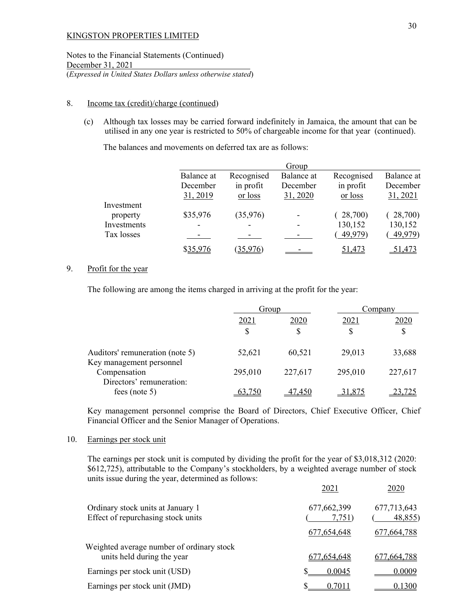Notes to the Financial Statements (Continued) December 31, 2021 (*Expressed in United States Dollars unless otherwise stated*)

## 8. Income tax (credit)/charge (continued)

(c) Although tax losses may be carried forward indefinitely in Jamaica, the amount that can be utilised in any one year is restricted to 50% of chargeable income for that year (continued).

The balances and movements on deferred tax are as follows:

|             |                        |                          | Group                  |                         |                        |
|-------------|------------------------|--------------------------|------------------------|-------------------------|------------------------|
|             | Balance at<br>December | Recognised<br>in profit  | Balance at<br>December | Recognised<br>in profit | Balance at<br>December |
|             | 31, 2019               | <u>or loss</u>           | 31, 2020               | <u>or loss</u>          | 31, 2021               |
| Investment  |                        |                          |                        |                         |                        |
| property    | \$35,976               | (35, 976)                |                        | 28,700)                 | 28,700)                |
| Investments |                        | $\overline{\phantom{a}}$ |                        | 130,152                 | 130,152                |
| Tax losses  |                        |                          |                        | (49,979)                | 49,979)                |
|             | \$35,976               | (35,976)                 |                        | 51,473                  | <u>51,473</u>          |

## 9. Profit for the year

The following are among the items charged in arriving at the profit for the year:

|                                                             |         | Group   |         | Company |  |
|-------------------------------------------------------------|---------|---------|---------|---------|--|
|                                                             | 2021    | 2020    | 2021    | 2020    |  |
|                                                             | \$      | S       | \$      | \$      |  |
| Auditors' remuneration (note 5)<br>Key management personnel | 52,621  | 60,521  | 29,013  | 33,688  |  |
| Compensation<br>Directors' remuneration:                    | 295,010 | 227,617 | 295,010 | 227,617 |  |
| fees (note $5$ )                                            | 63.750  | 47,450  | 31.875  | 23,725  |  |

Key management personnel comprise the Board of Directors, Chief Executive Officer, Chief Financial Officer and the Senior Manager of Operations.

### 10. Earnings per stock unit

The earnings per stock unit is computed by dividing the profit for the year of \$3,018,312 (2020: \$612,725), attributable to the Company's stockholders, by a weighted average number of stock units issue during the year, determined as follows:

|                                                                         | 2021                  | 2020                  |
|-------------------------------------------------------------------------|-----------------------|-----------------------|
| Ordinary stock units at January 1<br>Effect of repurchasing stock units | 677,662,399<br>7,751) | 677,713,643<br>48,855 |
|                                                                         | 677,654,648           | 677, 664, 788         |
| Weighted average number of ordinary stock<br>units held during the year | 677,654,648           | 677,664,788           |
| Earnings per stock unit (USD)                                           | 0.0045                | 0.0009                |
| Earnings per stock unit (JMD)                                           | 0.7011                | 0.1300                |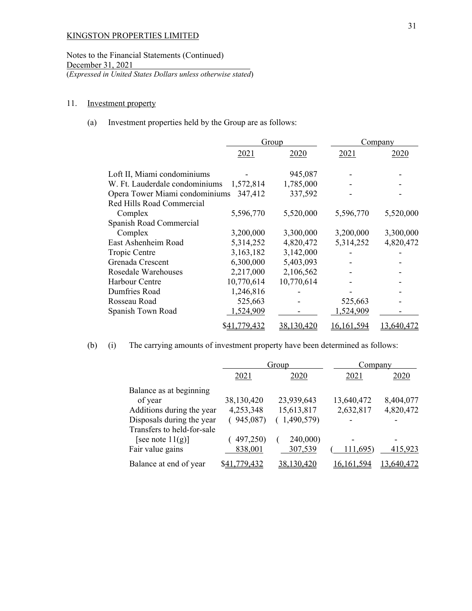Notes to the Financial Statements (Continued) December 31, 2021 (*Expressed in United States Dollars unless otherwise stated*)

# 11. Investment property

(a) Investment properties held by the Group are as follows:

|                                | Group        |            | Company      |            |
|--------------------------------|--------------|------------|--------------|------------|
|                                | 2021         | 2020       | 2021         | 2020       |
| Loft II, Miami condominiums    |              | 945,087    |              |            |
| W. Ft. Lauderdale condominiums | 1,572,814    | 1,785,000  |              |            |
| Opera Tower Miami condominiums | 347,412      | 337,592    |              |            |
| Red Hills Road Commercial      |              |            |              |            |
| Complex                        | 5,596,770    | 5,520,000  | 5,596,770    | 5,520,000  |
| Spanish Road Commercial        |              |            |              |            |
| Complex                        | 3,200,000    | 3,300,000  | 3,200,000    | 3,300,000  |
| East Ashenheim Road            | 5,314,252    | 4,820,472  | 5,314,252    | 4,820,472  |
| Tropic Centre                  | 3,163,182    | 3,142,000  |              |            |
| Grenada Crescent               | 6,300,000    | 5,403,093  |              |            |
| Rosedale Warehouses            | 2,217,000    | 2,106,562  |              |            |
| Harbour Centre                 | 10,770,614   | 10,770,614 |              |            |
| Dumfries Road                  | 1,246,816    |            |              |            |
| Rosseau Road                   | 525,663      |            | 525,663      |            |
| Spanish Town Road              | 1,524,909    |            | 1,524,909    |            |
|                                | \$41,779,432 | 38,130,420 | 16, 161, 594 | 13,640,472 |

(b) (i) The carrying amounts of investment property have been determined as follows:

|                            |                     | Group      | Company      |            |
|----------------------------|---------------------|------------|--------------|------------|
|                            | 2021                | 2020       | 2021         | 2020       |
| Balance as at beginning    |                     |            |              |            |
| of year                    | 38,130,420          | 23,939,643 | 13,640,472   | 8,404,077  |
| Additions during the year  | 4,253,348           | 15,613,817 | 2,632,817    | 4,820,472  |
| Disposals during the year  | 945,087)            | 1,490,579) |              |            |
| Transfers to held-for-sale |                     |            |              |            |
| [see note $11(g)$ ]        | 497,250)            | 240,000)   |              |            |
| Fair value gains           | 838,001             | 307,539    | 111,695)     | 415,923    |
| Balance at end of year     | <u>\$41,779,432</u> | 38,130,420 | 16, 161, 594 | 13,640,472 |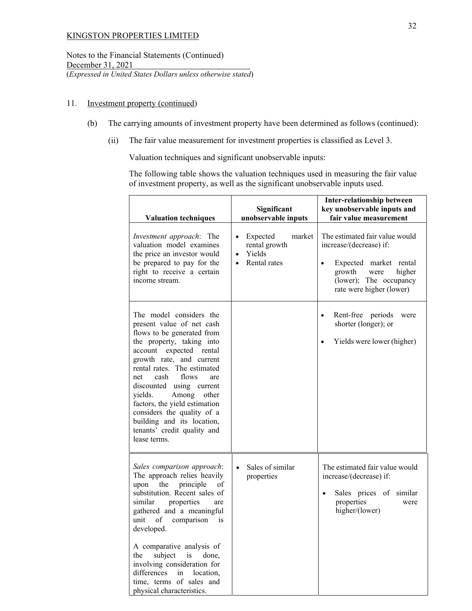Notes to the Financial Statements (Continued) December 31, 2021 (*Expressed in United States Dollars unless otherwise stated*)

## 11. Investment property (continued)

- (b) The carrying amounts of investment property have been determined as follows (continued):
	- (ii) The fair value measurement for investment properties is classified as Level 3.

Valuation techniques and significant unobservable inputs:

The following table shows the valuation techniques used in measuring the fair value of investment property, as well as the significant unobservable inputs used.

| <b>Valuation techniques</b>                                                                                                                                                                                                                                                                                                                                                                                                               | Significant<br>unobservable inputs                                                                   | <b>Inter-relationship between</b><br>key unobservable inputs and<br>fair value measurement                                                                                         |
|-------------------------------------------------------------------------------------------------------------------------------------------------------------------------------------------------------------------------------------------------------------------------------------------------------------------------------------------------------------------------------------------------------------------------------------------|------------------------------------------------------------------------------------------------------|------------------------------------------------------------------------------------------------------------------------------------------------------------------------------------|
| Investment approach: The<br>valuation model examines<br>the price an investor would<br>be prepared to pay for the<br>right to receive a certain<br>income stream.                                                                                                                                                                                                                                                                         | Expected<br>market<br>$\bullet$<br>rental growth<br>Yields<br>$\bullet$<br>Rental rates<br>$\bullet$ | The estimated fair value would<br>increase/(decrease) if:<br>Expected market rental<br>$\bullet$<br>higher<br>growth<br>were<br>(lower); The occupancy<br>rate were higher (lower) |
| The model considers the<br>present value of net cash<br>flows to be generated from<br>the property, taking into<br>account expected rental<br>growth rate, and current<br>rental rates. The estimated<br>cash<br>flows<br>net<br>are<br>discounted using current<br>Among<br>yields.<br>other<br>factors, the yield estimation<br>considers the quality of a<br>building and its location,<br>tenants' credit quality and<br>lease terms. |                                                                                                      | Rent-free<br>periods<br>$\bullet$<br>were<br>shorter (longer); or<br>Yields were lower (higher)                                                                                    |
| Sales comparison approach:<br>The approach relies heavily<br>the<br>principle<br>upon<br>οf<br>substitution. Recent sales of<br>similar<br>properties<br>are<br>gathered and a meaningful<br>unit of comparison<br>is<br>developed.<br>A comparative analysis of<br>subject<br>is<br>done,<br>the<br>involving consideration for<br>differences in location,<br>time, terms of sales and<br>physical characteristics.                     | Sales of similar<br>properties                                                                       | The estimated fair value would<br>increase/(decrease) if:<br>Sales prices of similar<br>$\bullet$<br>properties<br>were<br>higher/(lower)                                          |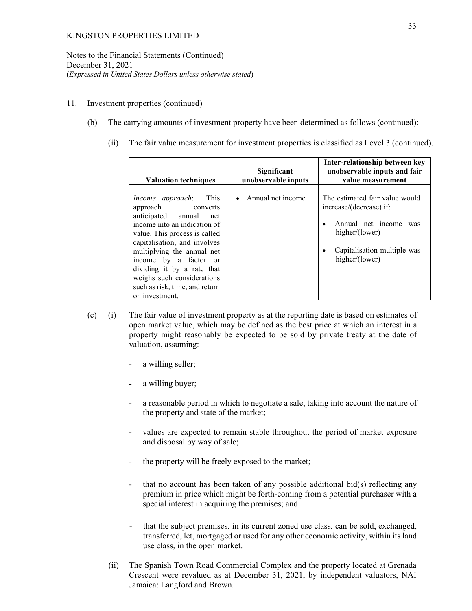Notes to the Financial Statements (Continued) December 31, 2021 (*Expressed in United States Dollars unless otherwise stated*)

## 11. Investment properties (continued)

- (b) The carrying amounts of investment property have been determined as follows (continued):
	- (ii) The fair value measurement for investment properties is classified as Level 3 (continued).

|                                                                                                                                                                                                                                                                                                                                                       | Significant         | Inter-relationship between key<br>unobservable inputs and fair                                                                                                |
|-------------------------------------------------------------------------------------------------------------------------------------------------------------------------------------------------------------------------------------------------------------------------------------------------------------------------------------------------------|---------------------|---------------------------------------------------------------------------------------------------------------------------------------------------------------|
| <b>Valuation techniques</b>                                                                                                                                                                                                                                                                                                                           | unobservable inputs | value measurement                                                                                                                                             |
| This<br>Income approach:<br>approach<br>converts<br>anticipated annual<br>net<br>income into an indication of<br>value. This process is called<br>capitalisation, and involves<br>multiplying the annual net<br>income by a factor or<br>dividing it by a rate that<br>weighs such considerations<br>such as risk, time, and return<br>on investment. | Annual net income   | The estimated fair value would<br>increase/(decrease) if:<br>Annual net income<br>was<br>higher/(lower)<br>Capitalisation multiple was<br>٠<br>higher/(lower) |

- (c) (i) The fair value of investment property as at the reporting date is based on estimates of open market value, which may be defined as the best price at which an interest in a property might reasonably be expected to be sold by private treaty at the date of valuation, assuming:
	- a willing seller;
	- a willing buyer;
	- a reasonable period in which to negotiate a sale, taking into account the nature of the property and state of the market;
	- values are expected to remain stable throughout the period of market exposure and disposal by way of sale;
	- the property will be freely exposed to the market;
	- that no account has been taken of any possible additional bid(s) reflecting any premium in price which might be forth-coming from a potential purchaser with a special interest in acquiring the premises; and
	- that the subject premises, in its current zoned use class, can be sold, exchanged, transferred, let, mortgaged or used for any other economic activity, within its land use class, in the open market.
	- (ii) The Spanish Town Road Commercial Complex and the property located at Grenada Crescent were revalued as at December 31, 2021, by independent valuators, NAI Jamaica: Langford and Brown.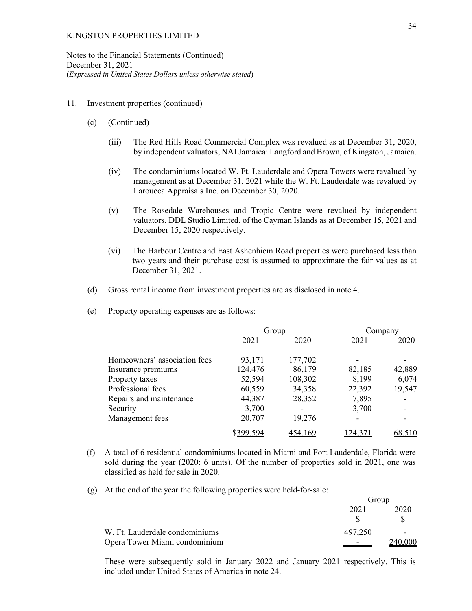Notes to the Financial Statements (Continued) December 31, 2021 (*Expressed in United States Dollars unless otherwise stated*)

#### 11. Investment properties (continued)

- (c) (Continued)
	- (iii) The Red Hills Road Commercial Complex was revalued as at December 31, 2020, by independent valuators, NAI Jamaica: Langford and Brown, of Kingston, Jamaica.
	- (iv) The condominiums located W. Ft. Lauderdale and Opera Towers were revalued by management as at December 31, 2021 while the W. Ft. Lauderdale was revalued by Laroucca Appraisals Inc. on December 30, 2020.
	- (v) The Rosedale Warehouses and Tropic Centre were revalued by independent valuators, DDL Studio Limited, of the Cayman Islands as at December 15, 2021 and December 15, 2020 respectively.
	- (vi) The Harbour Centre and East Ashenhiem Road properties were purchased less than two years and their purchase cost is assumed to approximate the fair values as at December 31, 2021.
- (d) Gross rental income from investment properties are as disclosed in note 4.
- (e) Property operating expenses are as follows:

|                              | Group     |         | Company |        |
|------------------------------|-----------|---------|---------|--------|
|                              | 2021      | 2020    | 2021    | 2020   |
| Homeowners' association fees | 93,171    | 177,702 |         |        |
| Insurance premiums           | 124,476   | 86,179  | 82,185  | 42,889 |
| Property taxes               | 52,594    | 108,302 | 8,199   | 6,074  |
| Professional fees            | 60,559    | 34,358  | 22,392  | 19,547 |
| Repairs and maintenance      | 44,387    | 28,352  | 7,895   |        |
| Security                     | 3,700     |         | 3,700   |        |
| Management fees              | 20,707    | 19,276  |         |        |
|                              | \$399.594 | 454.169 | 124,37  |        |

- (f) A total of 6 residential condominiums located in Miami and Fort Lauderdale, Florida were sold during the year (2020: 6 units). Of the number of properties sold in 2021, one was classified as held for sale in 2020.
- (g) At the end of the year the following properties were held-for-sale:

|                                | froup   |  |
|--------------------------------|---------|--|
|                                |         |  |
|                                |         |  |
| W. Ft. Lauderdale condominiums | 497,250 |  |
| Opera Tower Miami condominium  |         |  |

These were subsequently sold in January 2022 and January 2021 respectively. This is included under United States of America in note 24.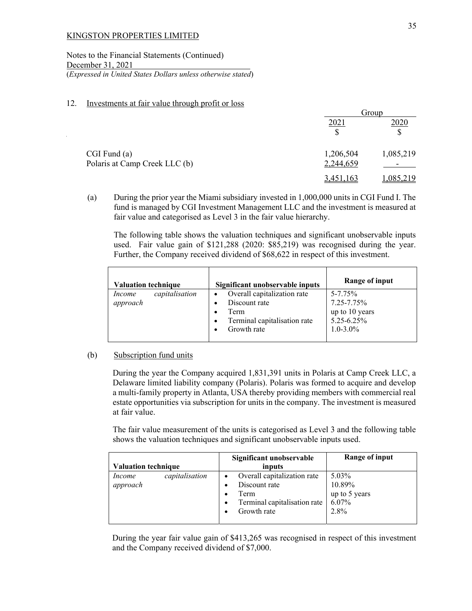Notes to the Financial Statements (Continued) December 31, 2021 (*Expressed in United States Dollars unless otherwise stated*)

## 12. Investments at fair value through profit or loss

|                                                   |                        | Group                                |  |  |
|---------------------------------------------------|------------------------|--------------------------------------|--|--|
|                                                   | 2021                   | 2020                                 |  |  |
| $CGI$ Fund $(a)$<br>Polaris at Camp Creek LLC (b) | 1,206,504<br>2,244,659 | 1,085,219                            |  |  |
|                                                   | 3,451,163              | $\overline{\phantom{0}}$<br>,085,219 |  |  |

(a) During the prior year the Miami subsidiary invested in 1,000,000 units in CGI Fund I. The fund is managed by CGI Investment Management LLC and the investment is measured at fair value and categorised as Level 3 in the fair value hierarchy.

The following table shows the valuation techniques and significant unobservable inputs used. Fair value gain of \$121,288 (2020: \$85,219) was recognised during the year. Further, the Company received dividend of \$68,622 in respect of this investment.

| <b>Valuation technique</b>           | Significant unobservable inputs                                                                     | Range of input                                                              |
|--------------------------------------|-----------------------------------------------------------------------------------------------------|-----------------------------------------------------------------------------|
| capitalisation<br>Income<br>approach | Overall capitalization rate<br>Discount rate<br>Term<br>Terminal capitalisation rate<br>Growth rate | 5-7.75%<br>$7.25 - 7.75\%$<br>up to 10 years<br>5.25-6.25%<br>$1.0 - 3.0\%$ |

### (b) Subscription fund units

During the year the Company acquired 1,831,391 units in Polaris at Camp Creek LLC, a Delaware limited liability company (Polaris). Polaris was formed to acquire and develop a multi-family property in Atlanta, USA thereby providing members with commercial real estate opportunities via subscription for units in the company. The investment is measured at fair value.

The fair value measurement of the units is categorised as Level 3 and the following table shows the valuation techniques and significant unobservable inputs used.

|                                 | Significant unobservable                  | <b>Range of input</b> |
|---------------------------------|-------------------------------------------|-----------------------|
| <b>Valuation technique</b>      | inputs                                    |                       |
| capitalisation<br><i>Income</i> | Overall capitalization rate               | 5.03%                 |
| approach                        | Discount rate<br>$\bullet$                | 10.89%                |
|                                 | Term<br>$\bullet$                         | up to 5 years         |
|                                 | Terminal capitalisation rate<br>$\bullet$ | 6.07%                 |
|                                 | Growth rate                               | 2.8%                  |
|                                 |                                           |                       |

During the year fair value gain of \$413,265 was recognised in respect of this investment and the Company received dividend of \$7,000.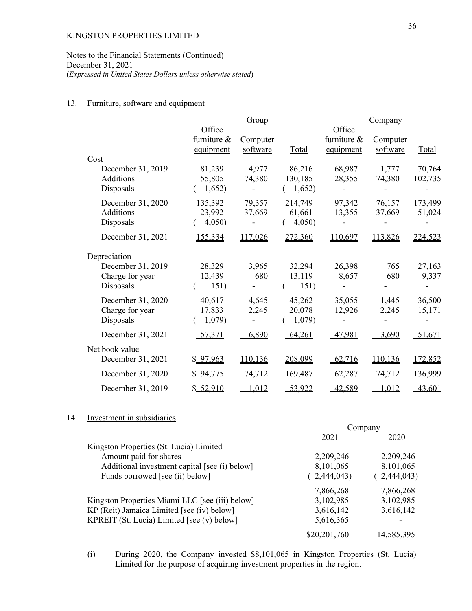Notes to the Financial Statements (Continued) December 31, 2021 (*Expressed in United States Dollars unless otherwise stated*)

## 13. Furniture, software and equipment

|                   |                                    | Group                |         |                                    | Company              |         |
|-------------------|------------------------------------|----------------------|---------|------------------------------------|----------------------|---------|
|                   | Office<br>furniture &<br>equipment | Computer<br>software | Total   | Office<br>furniture &<br>equipment | Computer<br>software | Total   |
| Cost              |                                    |                      |         |                                    |                      |         |
| December 31, 2019 | 81,239                             | 4,977                | 86,216  | 68,987                             | 1,777                | 70,764  |
| <b>Additions</b>  | 55,805                             | 74,380               | 130,185 | 28,355                             | 74,380               | 102,735 |
| Disposals         | 1,652)                             |                      | 1,652   |                                    |                      |         |
| December 31, 2020 | 135,392                            | 79,357               | 214,749 | 97,342                             | 76,157               | 173,499 |
| <b>Additions</b>  | 23,992                             | 37,669               | 61,661  | 13,355                             | 37,669               | 51,024  |
| Disposals         | 4,050                              |                      | 4,050   |                                    |                      |         |
| December 31, 2021 | 155,334                            | 117,026              | 272,360 | 110,697                            | 113,826              | 224,523 |
| Depreciation      |                                    |                      |         |                                    |                      |         |
| December 31, 2019 | 28,329                             | 3,965                | 32,294  | 26,398                             | 765                  | 27,163  |
| Charge for year   | 12,439                             | 680                  | 13,119  | 8,657                              | 680                  | 9,337   |
| Disposals         | 151)                               |                      | 151)    |                                    |                      |         |
| December 31, 2020 | 40,617                             | 4,645                | 45,262  | 35,055                             | 1,445                | 36,500  |
| Charge for year   | 17,833                             | 2,245                | 20,078  | 12,926                             | 2,245                | 15,171  |
| Disposals         | 1,079                              |                      | 1,079   |                                    |                      |         |
| December 31, 2021 | 57,371                             | 6,890                | 64,261  | 47,981                             | 3,690                | 51,671  |
| Net book value    |                                    |                      |         |                                    |                      |         |
| December 31, 2021 | \$97,963                           | 110,136              | 208,099 | 62,716                             | 110,136              | 172,852 |
| December 31, 2020 | \$ 94,775                          | 74,712               | 169,487 | 62,287                             | 74,712               | 136,999 |
| December 31, 2019 | \$ 52,910                          | 1,012                | 53,922  | 42,589                             | 1,012                | 43,601  |

#### 14. Investment in subsidiaries

|                                                 |              | Company    |  |
|-------------------------------------------------|--------------|------------|--|
|                                                 | 2021         | 2020       |  |
| Kingston Properties (St. Lucia) Limited         |              |            |  |
| Amount paid for shares                          | 2,209,246    | 2,209,246  |  |
| Additional investment capital [see (i) below]   | 8,101,065    | 8,101,065  |  |
| Funds borrowed [see (ii) below]                 | 2,444,043    | 2,444,043  |  |
|                                                 | 7,866,268    | 7,866,268  |  |
| Kingston Properties Miami LLC [see (iii) below] | 3,102,985    | 3,102,985  |  |
| KP (Reit) Jamaica Limited [see (iv) below]      | 3,616,142    | 3,616,142  |  |
| KPREIT (St. Lucia) Limited [see (v) below]      | 5,616,365    |            |  |
|                                                 | \$20,201,760 | 14.585.395 |  |

(i) During 2020, the Company invested \$8,101,065 in Kingston Properties (St. Lucia) Limited for the purpose of acquiring investment properties in the region.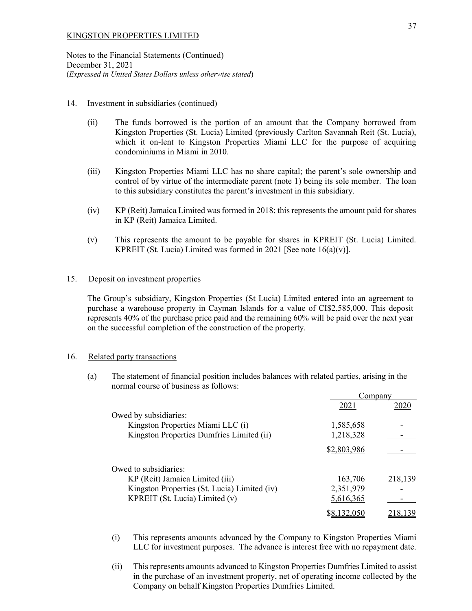Notes to the Financial Statements (Continued) December 31, 2021 (*Expressed in United States Dollars unless otherwise stated*)

## 14. Investment in subsidiaries (continued)

- (ii) The funds borrowed is the portion of an amount that the Company borrowed from Kingston Properties (St. Lucia) Limited (previously Carlton Savannah Reit (St. Lucia), which it on-lent to Kingston Properties Miami LLC for the purpose of acquiring condominiums in Miami in 2010.
- (iii) Kingston Properties Miami LLC has no share capital; the parent's sole ownership and control of by virtue of the intermediate parent (note 1) being its sole member. The loan to this subsidiary constitutes the parent's investment in this subsidiary.
- (iv) KP (Reit) Jamaica Limited was formed in 2018; this represents the amount paid for shares in KP (Reit) Jamaica Limited.
- (v) This represents the amount to be payable for shares in KPREIT (St. Lucia) Limited. KPREIT (St. Lucia) Limited was formed in 2021 [See note  $16(a)(v)$ ].

## 15. Deposit on investment properties

 The Group's subsidiary, Kingston Properties (St Lucia) Limited entered into an agreement to purchase a warehouse property in Cayman Islands for a value of CI\$2,585,000. This deposit represents 40% of the purchase price paid and the remaining 60% will be paid over the next year on the successful completion of the construction of the property.

## 16. Related party transactions

(a) The statement of financial position includes balances with related parties, arising in the normal course of business as follows:

|                                              | Company     |         |
|----------------------------------------------|-------------|---------|
|                                              | 2021        | 2020    |
| Owed by subsidiaries:                        |             |         |
| Kingston Properties Miami LLC (i)            | 1,585,658   |         |
| Kingston Properties Dumfries Limited (ii)    | 1,218,328   |         |
|                                              | \$2,803,986 |         |
| Owed to subsidiaries:                        |             |         |
| KP (Reit) Jamaica Limited (iii)              | 163,706     | 218,139 |
| Kingston Properties (St. Lucia) Limited (iv) | 2,351,979   |         |
| KPREIT (St. Lucia) Limited (v)               | 5,616,365   |         |
|                                              |             |         |

- (i) This represents amounts advanced by the Company to Kingston Properties Miami LLC for investment purposes. The advance is interest free with no repayment date.
- (ii) This represents amounts advanced to Kingston Properties Dumfries Limited to assist in the purchase of an investment property, net of operating income collected by the Company on behalf Kingston Properties Dumfries Limited.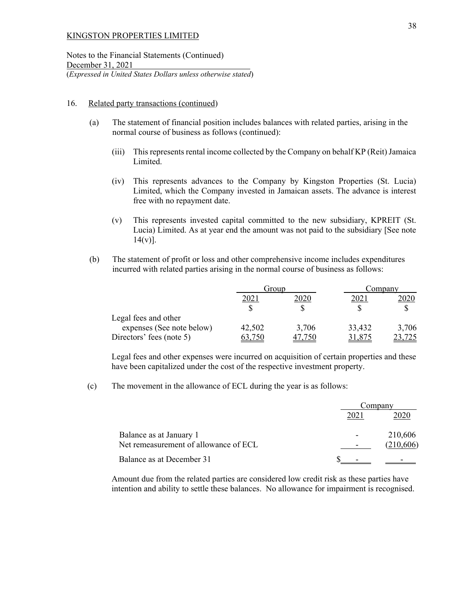Notes to the Financial Statements (Continued) December 31, 2021 (*Expressed in United States Dollars unless otherwise stated*)

#### 16. Related party transactions (continued)

- (a) The statement of financial position includes balances with related parties, arising in the normal course of business as follows (continued):
	- (iii) This represents rental income collected by the Company on behalf KP (Reit) Jamaica Limited.
	- (iv) This represents advances to the Company by Kingston Properties (St. Lucia) Limited, which the Company invested in Jamaican assets. The advance is interest free with no repayment date.
	- (v) This represents invested capital committed to the new subsidiary, KPREIT (St. Lucia) Limited. As at year end the amount was not paid to the subsidiary [See note  $14(v)$ ].
- (b) The statement of profit or loss and other comprehensive income includes expenditures incurred with related parties arising in the normal course of business as follows:

|                           | Group  |       | Company |       |
|---------------------------|--------|-------|---------|-------|
|                           | 202    | 2020  | $202$ . | 2020  |
|                           |        |       |         |       |
| Legal fees and other      |        |       |         |       |
| expenses (See note below) | 42,502 | 3,706 | 33,432  | 3,706 |
| Directors' fees (note 5)  |        |       |         |       |

Legal fees and other expenses were incurred on acquisition of certain properties and these have been capitalized under the cost of the respective investment property.

(c) The movement in the allowance of ECL during the year is as follows:

|                                       |                          | Company    |  |
|---------------------------------------|--------------------------|------------|--|
|                                       |                          |            |  |
| Balance as at January 1               | $\overline{\phantom{0}}$ | 210,606    |  |
| Net remeasurement of allowance of ECL |                          | (210, 606) |  |
| Balance as at December 31             |                          |            |  |

Amount due from the related parties are considered low credit risk as these parties have intention and ability to settle these balances. No allowance for impairment is recognised.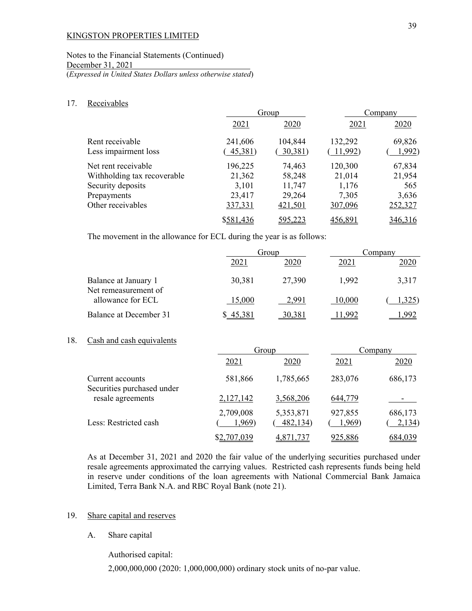## Notes to the Financial Statements (Continued) December 31, 2021 (*Expressed in United States Dollars unless otherwise stated*)

### 17. Receivables

|                             |           | Group          |          | Company |
|-----------------------------|-----------|----------------|----------|---------|
|                             | 2021      | 2020           | 2021     | 2020    |
| Rent receivable             | 241,606   | 104,844        | 132,292  | 69,826  |
| Less impairment loss        | 45,381)   | 30,381)        | (11,992) | 1,992)  |
| Net rent receivable         | 196,225   | 74,463         | 120,300  | 67,834  |
| Withholding tax recoverable | 21,362    | 58,248         | 21,014   | 21,954  |
| Security deposits           | 3,101     | 11,747         | 1,176    | 565     |
| Prepayments                 | 23,417    | 29,264         | 7,305    | 3,636   |
| Other receivables           | 337,331   | 421,501        | 307,096  | 252,327 |
|                             | \$581,436 | <u>595,223</u> | 456,891  | 346,316 |

The movement in the allowance for ECL during the year is as follows:

|                                              |        | Group  |                  | Company |  |
|----------------------------------------------|--------|--------|------------------|---------|--|
|                                              | 2021   | 2020   | 202 <sub>1</sub> | 2020    |  |
| Balance at January 1<br>Net remeasurement of | 30,381 | 27,390 | 1,992            | 3,317   |  |
| allowance for ECL                            | 15,000 | 2.991  | 10,000           | ,325    |  |
| Balance at December 31                       |        | 30,381 |                  |         |  |

## 18. Cash and cash equivalents

|                                                |                     | Group                 |                   | Company           |
|------------------------------------------------|---------------------|-----------------------|-------------------|-------------------|
|                                                | 2021                | 2020                  | 2021              | 2020              |
| Current accounts<br>Securities purchased under | 581,866             | 1,785,665             | 283,076           | 686,173           |
| resale agreements                              | 2,127,142           | 3,568,206             | 644,779           |                   |
| Less: Restricted cash                          | 2,709,008<br>1,969) | 5,353,871<br>482,134) | 927,855<br>1,969) | 686,173<br>2,134) |
|                                                | \$2,707,039         | <u>4,871,737</u>      | 925,886           | 684,039           |

 As at December 31, 2021 and 2020 the fair value of the underlying securities purchased under resale agreements approximated the carrying values. Restricted cash represents funds being held in reserve under conditions of the loan agreements with National Commercial Bank Jamaica Limited, Terra Bank N.A. and RBC Royal Bank (note 21).

### 19. Share capital and reserves

A. Share capital

Authorised capital:

2,000,000,000 (2020: 1,000,000,000) ordinary stock units of no-par value.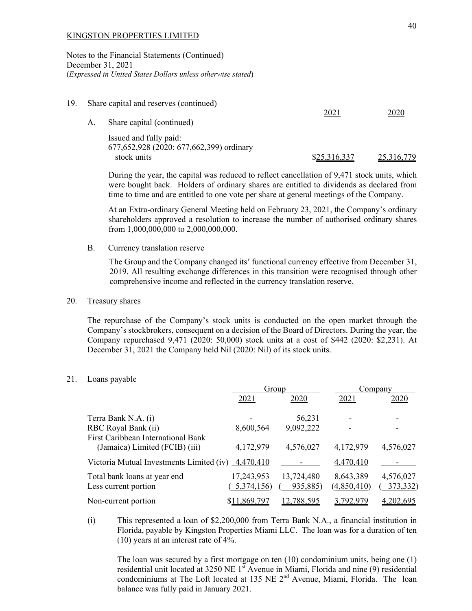Notes to the Financial Statements (Continued) December 31, 2021 (*Expressed in United States Dollars unless otherwise stated*)

| 19. |    | Share capital and reserves (continued)                                                |              |            |
|-----|----|---------------------------------------------------------------------------------------|--------------|------------|
|     | А. | Share capital (continued)                                                             | 2021         | 2020       |
|     |    | Issued and fully paid:<br>677, 652, 928 (2020: 677, 662, 399) ordinary<br>stock units | \$25,316,337 | 25,316,779 |

 During the year, the capital was reduced to reflect cancellation of 9,471 stock units, which were bought back. Holders of ordinary shares are entitled to dividends as declared from time to time and are entitled to one vote per share at general meetings of the Company.

At an Extra-ordinary General Meeting held on February 23, 2021, the Company's ordinary shareholders approved a resolution to increase the number of authorised ordinary shares from 1,000,000,000 to 2,000,000,000.

B. Currency translation reserve

The Group and the Company changed its' functional currency effective from December 31, 2019. All resulting exchange differences in this transition were recognised through other comprehensive income and reflected in the currency translation reserve.

## 20. Treasury shares

The repurchase of the Company's stock units is conducted on the open market through the Company's stockbrokers, consequent on a decision of the Board of Directors. During the year, the Company repurchased 9,471 (2020: 50,000) stock units at a cost of \$442 (2020: \$2,231). At December 31, 2021 the Company held Nil (2020: Nil) of its stock units.

## 21. Loans payable

|                                                                      |                          | Group                  |                          | Company               |
|----------------------------------------------------------------------|--------------------------|------------------------|--------------------------|-----------------------|
|                                                                      | 2021                     | 2020                   | 2021                     | 2020                  |
| Terra Bank N.A. (i)                                                  |                          | 56,231                 |                          |                       |
| RBC Royal Bank (ii)                                                  | 8,600,564                | 9,092,222              |                          |                       |
| First Caribbean International Bank<br>(Jamaica) Limited (FCIB) (iii) | 4,172,979                | 4,576,027              | 4,172,979                | 4,576,027             |
| Victoria Mutual Investments Limited (iv) 4,470,410                   |                          |                        | 4,470,410                |                       |
| Total bank loans at year end<br>Less current portion                 | 17,243,953<br>5,374,156) | 13,724,480<br>935,885) | 8,643,389<br>(4,850,410) | 4,576,027<br>373,332) |
| Non-current portion                                                  | \$11,869,797             | 12,788,595             | 3,792,979                | 4,202,695             |

(i) This represented a loan of \$2,200,000 from Terra Bank N.A., a financial institution in Florida, payable by Kingston Properties Miami LLC. The loan was for a duration of ten (10) years at an interest rate of 4%.

 The loan was secured by a first mortgage on ten (10) condominium units, being one (1) residential unit located at 3250 NE 1<sup>st</sup> Avenue in Miami, Florida and nine (9) residential condominiums at The Loft located at 135 NE 2<sup>nd</sup> Avenue, Miami, Florida. The loan balance was fully paid in January 2021.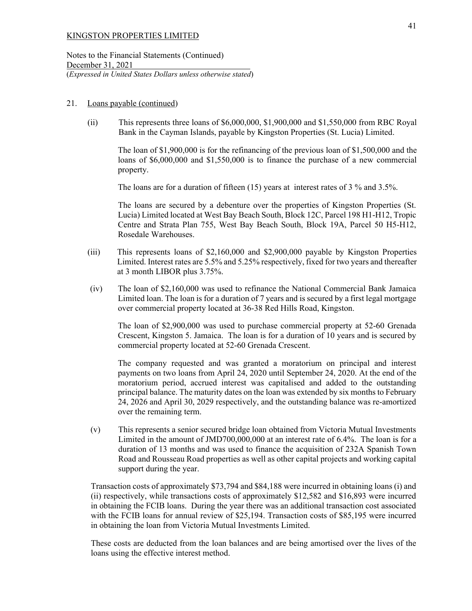Notes to the Financial Statements (Continued) December 31, 2021 (*Expressed in United States Dollars unless otherwise stated*)

#### 21. Loans payable (continued)

(ii) This represents three loans of \$6,000,000, \$1,900,000 and \$1,550,000 from RBC Royal Bank in the Cayman Islands, payable by Kingston Properties (St. Lucia) Limited.

The loan of \$1,900,000 is for the refinancing of the previous loan of \$1,500,000 and the loans of \$6,000,000 and \$1,550,000 is to finance the purchase of a new commercial property.

The loans are for a duration of fifteen (15) years at interest rates of 3 % and 3.5%.

The loans are secured by a debenture over the properties of Kingston Properties (St. Lucia) Limited located at West Bay Beach South, Block 12C, Parcel 198 H1-H12, Tropic Centre and Strata Plan 755, West Bay Beach South, Block 19A, Parcel 50 H5-H12, Rosedale Warehouses.

- (iii) This represents loans of \$2,160,000 and \$2,900,000 payable by Kingston Properties Limited. Interest rates are 5.5% and 5.25% respectively, fixed for two years and thereafter at 3 month LIBOR plus 3.75%.
- (iv) The loan of \$2,160,000 was used to refinance the National Commercial Bank Jamaica Limited loan. The loan is for a duration of 7 years and is secured by a first legal mortgage over commercial property located at 36-38 Red Hills Road, Kingston.

The loan of \$2,900,000 was used to purchase commercial property at 52-60 Grenada Crescent, Kingston 5. Jamaica. The loan is for a duration of 10 years and is secured by commercial property located at 52-60 Grenada Crescent.

The company requested and was granted a moratorium on principal and interest payments on two loans from April 24, 2020 until September 24, 2020. At the end of the moratorium period, accrued interest was capitalised and added to the outstanding principal balance. The maturity dates on the loan was extended by six months to February 24, 2026 and April 30, 2029 respectively, and the outstanding balance was re-amortized over the remaining term.

(v) This represents a senior secured bridge loan obtained from Victoria Mutual Investments Limited in the amount of JMD700,000,000 at an interest rate of 6.4%. The loan is for a duration of 13 months and was used to finance the acquisition of 232A Spanish Town Road and Rousseau Road properties as well as other capital projects and working capital support during the year.

 Transaction costs of approximately \$73,794 and \$84,188 were incurred in obtaining loans (i) and (ii) respectively, while transactions costs of approximately \$12,582 and \$16,893 were incurred in obtaining the FCIB loans. During the year there was an additional transaction cost associated with the FCIB loans for annual review of \$25,194. Transaction costs of \$85,195 were incurred in obtaining the loan from Victoria Mutual Investments Limited.

 These costs are deducted from the loan balances and are being amortised over the lives of the loans using the effective interest method.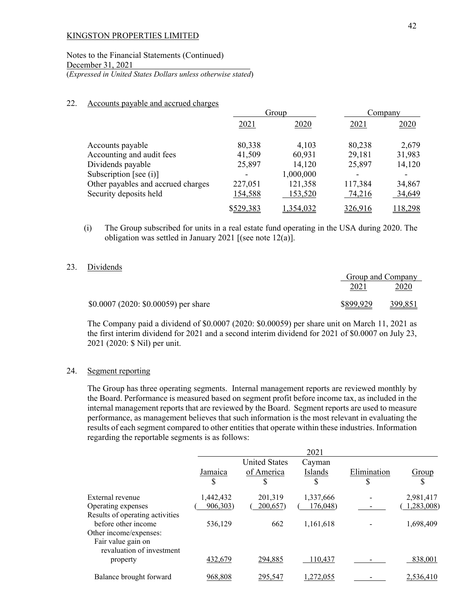Notes to the Financial Statements (Continued) December 31, 2021 (*Expressed in United States Dollars unless otherwise stated*)

### 22. Accounts payable and accrued charges

|                                    |           | Group     |         | Company |
|------------------------------------|-----------|-----------|---------|---------|
|                                    | 2021      | 2020      | 2021    | 2020    |
| Accounts payable                   | 80,338    | 4,103     | 80,238  | 2,679   |
| Accounting and audit fees          | 41,509    | 60,931    | 29,181  | 31,983  |
| Dividends payable                  | 25,897    | 14,120    | 25,897  | 14,120  |
| Subscription [see $(i)$ ]          |           | 1,000,000 |         |         |
| Other payables and accrued charges | 227,051   | 121,358   | 117,384 | 34,867  |
| Security deposits held             | 154,588   | 153,520   | 74,216  | 34,649  |
|                                    | \$529,383 | 1,354,032 | 326,916 | 118,298 |

(i) The Group subscribed for units in a real estate fund operating in the USA during 2020. The obligation was settled in January 2021 [(see note 12(a)].

## 23. Dividends

|                                      |           | Group and Company |
|--------------------------------------|-----------|-------------------|
|                                      | 2021      | 2020              |
| $$0.0007 (2020: $0.00059)$ per share | \$899,929 | 399,851           |

The Company paid a dividend of \$0.0007 (2020: \$0.00059) per share unit on March 11, 2021 as the first interim dividend for 2021 and a second interim dividend for 2021 of \$0.0007 on July 23, 2021 (2020: \$ Nil) per unit.

### 24. Segment reporting

The Group has three operating segments. Internal management reports are reviewed monthly by the Board. Performance is measured based on segment profit before income tax, as included in the internal management reports that are reviewed by the Board. Segment reports are used to measure performance, as management believes that such information is the most relevant in evaluating the results of each segment compared to other entities that operate within these industries. Information regarding the reportable segments is as follows:

|                                                                                                        |           |                                    | 2021              |             |            |
|--------------------------------------------------------------------------------------------------------|-----------|------------------------------------|-------------------|-------------|------------|
|                                                                                                        | Jamaica   | <b>United States</b><br>of America | Cayman<br>Islands | Elimination | Group      |
|                                                                                                        | \$        | \$                                 | \$                | \$          |            |
| External revenue                                                                                       | 1,442,432 | 201,319                            | 1,337,666         |             | 2,981,417  |
| Operating expenses                                                                                     | 906,303)  | 200,657)                           | 176,048)          |             | 1,283,008) |
| Results of operating activities<br>before other income<br>Other income/expenses:<br>Fair value gain on | 536,129   | 662                                | 1,161,618         |             | 1,698,409  |
| revaluation of investment<br>property                                                                  | 432,679   | 294,885                            | 110.437           |             | 838,001    |
| Balance brought forward                                                                                | 968,808   | 295,547                            | .272,055          |             | 2,536,410  |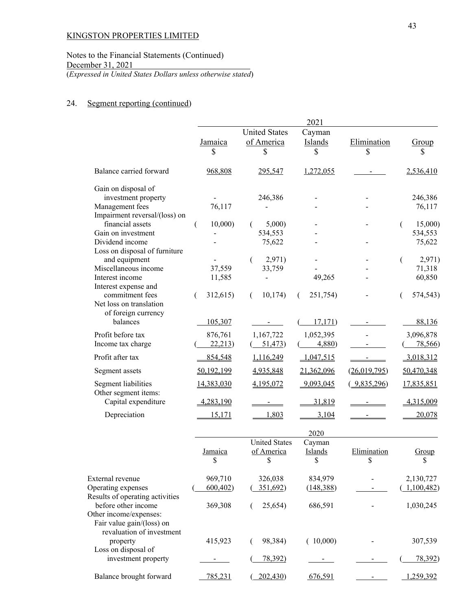Notes to the Financial Statements (Continued) December 31, 2021 (*Expressed in United States Dollars unless otherwise stated*)

# 24. Segment reporting (continued)

|                                                     | 2021        |                      |               |              |                   |  |
|-----------------------------------------------------|-------------|----------------------|---------------|--------------|-------------------|--|
|                                                     |             | <b>United States</b> | Cayman        |              |                   |  |
|                                                     | Jamaica     | of America           | Islands       | Elimination  | Group             |  |
|                                                     | \$          |                      | \$            | \$           | \$                |  |
| Balance carried forward                             | 968,808     | 295,547              | 1,272,055     |              | 2,536,410         |  |
| Gain on disposal of                                 |             |                      |               |              |                   |  |
| investment property                                 |             | 246,386              |               |              | 246,386           |  |
| Management fees                                     | 76,117      |                      |               |              | 76,117            |  |
| Impairment reversal/(loss) on                       |             |                      |               |              |                   |  |
| financial assets<br>Gain on investment              | 10,000<br>€ | 5,000                |               |              | 15,000<br>€       |  |
| Dividend income                                     |             | 534,553<br>75,622    |               |              | 534,553<br>75,622 |  |
| Loss on disposal of furniture                       |             |                      |               |              |                   |  |
| and equipment                                       |             | 2,971)<br>€          |               |              | 2,971)<br>€       |  |
| Miscellaneous income                                | 37,559      | 33,759               |               |              | 71,318            |  |
| Interest income                                     | 11,585      |                      | 49,265        |              | 60,850            |  |
| Interest expense and                                |             |                      |               |              |                   |  |
| commitment fees                                     | 312,615)    | 10,174)<br>(         | 251,754)<br>€ |              | 574,543)          |  |
| Net loss on translation                             |             |                      |               |              |                   |  |
| of foreign currency                                 |             |                      |               |              |                   |  |
| balances                                            | 105,307     |                      | 17,171)       |              | 88,136            |  |
| Profit before tax                                   | 876,761     | 1,167,722            | 1,052,395     |              | 3,096,878         |  |
| Income tax charge                                   | 22,213      | 51,473)              | 4,880)        |              | 78,566            |  |
| Profit after tax                                    | 854,548     | 1,116,249            | 1,047,515     |              | 3,018,312         |  |
| Segment assets                                      | 50,192,199  | 4,935,848            | 21,362,096    | (26,019,795) | 50,470,348        |  |
|                                                     |             |                      |               |              |                   |  |
| Segment liabilities<br>Other segment items:         | 14,383,030  | 4,195,072            | 9,093,045     | (9,835,296)  | 17,835,851        |  |
| Capital expenditure                                 | 4,283,190   |                      | 31,819        |              | 4,315,009         |  |
| Depreciation                                        | 15,171      | 1,803                | 3,104         |              | 20,078            |  |
|                                                     |             |                      | 2020          |              |                   |  |
|                                                     |             | <b>United States</b> | Cayman        |              |                   |  |
|                                                     | Jamaica     | of America           | Islands       | Elimination  | Group             |  |
|                                                     | \$          | \$                   | \$            | \$           | \$                |  |
|                                                     |             |                      |               |              |                   |  |
| External revenue                                    | 969,710     | 326,038              | 834,979       |              | 2,130,727         |  |
| Operating expenses                                  | 600,402     | 351,692)             | (148, 388)    |              | 1,100,482         |  |
| Results of operating activities                     |             |                      |               |              |                   |  |
| before other income                                 | 369,308     | 25,654)              | 686,591       |              | 1,030,245         |  |
| Other income/expenses:<br>Fair value gain/(loss) on |             |                      |               |              |                   |  |
| revaluation of investment                           |             |                      |               |              |                   |  |
| property                                            | 415,923     | 98,384)              | (10,000)      |              | 307,539           |  |
| Loss on disposal of                                 |             |                      |               |              |                   |  |
| investment property                                 |             | 78,392)              |               |              | 78,392)           |  |
| Balance brought forward                             | 785,231     | 202,430)             | 676,591       |              | 1,259,392         |  |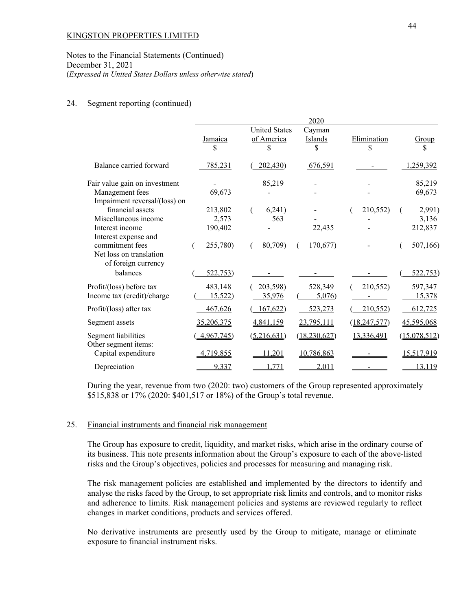## Notes to the Financial Statements (Continued) December 31, 2021 (*Expressed in United States Dollars unless otherwise stated*)

#### 24. Segment reporting (continued)

|                                                                                           | 2020              |                                    |                   |                   |                   |  |
|-------------------------------------------------------------------------------------------|-------------------|------------------------------------|-------------------|-------------------|-------------------|--|
|                                                                                           | Jamaica<br>S      | <b>United States</b><br>of America | Cayman<br>Islands | Elimination<br>\$ | Group<br>\$       |  |
| Balance carried forward                                                                   | 785,231           | 202,430                            | 676,591           |                   | 1,259,392         |  |
| Fair value gain on investment                                                             |                   | 85,219                             |                   |                   | 85,219            |  |
| Management fees<br>Impairment reversal/(loss) on                                          | 69,673            |                                    |                   |                   | 69,673            |  |
| financial assets                                                                          | 213,802           | 6,241)                             |                   | 210,552)          | 2,991)            |  |
| Miscellaneous income                                                                      | 2,573             | 563                                |                   |                   | 3,136             |  |
| Interest income                                                                           | 190,402           |                                    | 22,435            |                   | 212,837           |  |
| Interest expense and<br>commitment fees<br>Net loss on translation<br>of foreign currency | 255,780)          | 80,709)                            | 170,677)          |                   | 507,166)          |  |
| balances                                                                                  | 522,753)          |                                    |                   |                   | 522,753)          |  |
| Profit/(loss) before tax<br>Income tax (credit)/charge                                    | 483,148<br>15,522 | 203,598)<br>35,976                 | 528,349<br>5,076  | 210,552)          | 597,347<br>15,378 |  |
| Profit/(loss) after tax                                                                   | 467,626           | 167,622                            | 523,273           | 210,552           | 612,725           |  |
| Segment assets                                                                            | 35,206,375        | 4,841,159                          | 23,795,111        | (18, 247, 577)    | 45,595,068        |  |
| Segment liabilities<br>Other segment items:                                               | 4,967,745)        | (5,216,631)                        | (18, 230, 627)    | 13,336,491        | (15,078,512)      |  |
| Capital expenditure                                                                       | 4,719,855         | 11,201                             | 10,786,863        |                   | 15,517,919        |  |
| Depreciation                                                                              | 9,337             | 1,771                              | 2,011             |                   | 13,119            |  |

During the year, revenue from two (2020: two) customers of the Group represented approximately \$515,838 or 17% (2020: \$401,517 or 18%) of the Group's total revenue.

## 25. Financial instruments and financial risk management

The Group has exposure to credit, liquidity, and market risks, which arise in the ordinary course of its business. This note presents information about the Group's exposure to each of the above-listed risks and the Group's objectives, policies and processes for measuring and managing risk.

The risk management policies are established and implemented by the directors to identify and analyse the risks faced by the Group, to set appropriate risk limits and controls, and to monitor risks and adherence to limits. Risk management policies and systems are reviewed regularly to reflect changes in market conditions, products and services offered.

No derivative instruments are presently used by the Group to mitigate, manage or eliminate exposure to financial instrument risks.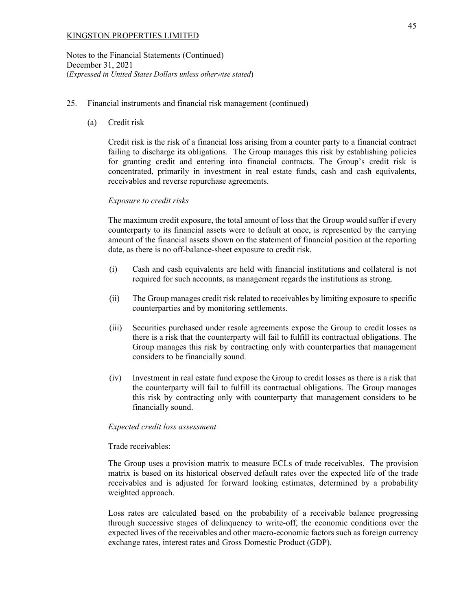Notes to the Financial Statements (Continued) December 31, 2021 (*Expressed in United States Dollars unless otherwise stated*)

## 25. Financial instruments and financial risk management (continued)

(a) Credit risk

Credit risk is the risk of a financial loss arising from a counter party to a financial contract failing to discharge its obligations. The Group manages this risk by establishing policies for granting credit and entering into financial contracts. The Group's credit risk is concentrated, primarily in investment in real estate funds, cash and cash equivalents, receivables and reverse repurchase agreements.

## *Exposure to credit risks*

The maximum credit exposure, the total amount of loss that the Group would suffer if every counterparty to its financial assets were to default at once, is represented by the carrying amount of the financial assets shown on the statement of financial position at the reporting date, as there is no off-balance-sheet exposure to credit risk.

- (i) Cash and cash equivalents are held with financial institutions and collateral is not required for such accounts, as management regards the institutions as strong.
- (ii) The Group manages credit risk related to receivables by limiting exposure to specific counterparties and by monitoring settlements.
- (iii) Securities purchased under resale agreements expose the Group to credit losses as there is a risk that the counterparty will fail to fulfill its contractual obligations. The Group manages this risk by contracting only with counterparties that management considers to be financially sound.
- (iv) Investment in real estate fund expose the Group to credit losses as there is a risk that the counterparty will fail to fulfill its contractual obligations. The Group manages this risk by contracting only with counterparty that management considers to be financially sound.

## *Expected credit loss assessment*

## Trade receivables:

The Group uses a provision matrix to measure ECLs of trade receivables. The provision matrix is based on its historical observed default rates over the expected life of the trade receivables and is adjusted for forward looking estimates, determined by a probability weighted approach.

Loss rates are calculated based on the probability of a receivable balance progressing through successive stages of delinquency to write-off, the economic conditions over the expected lives of the receivables and other macro-economic factors such as foreign currency exchange rates, interest rates and Gross Domestic Product (GDP).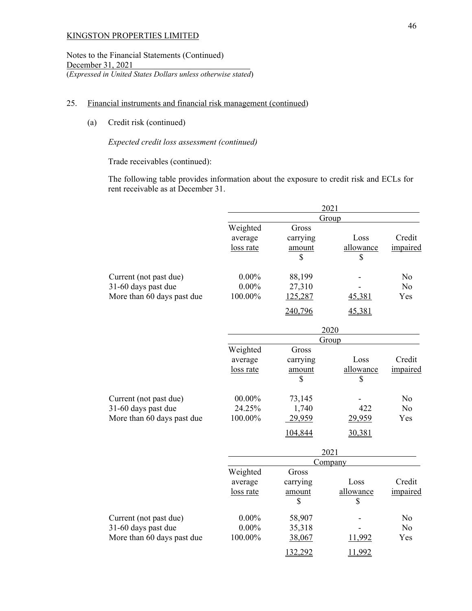Notes to the Financial Statements (Continued) December 31, 2021 (*Expressed in United States Dollars unless otherwise stated*)

## 25. Financial instruments and financial risk management (continued)

(a) Credit risk (continued)

# *Expected credit loss assessment (continued)*

Trade receivables (continued):

The following table provides information about the exposure to credit risk and ECLs for rent receivable as at December 31.

|                            | 2021      |              |                 |                |  |  |
|----------------------------|-----------|--------------|-----------------|----------------|--|--|
|                            | Group     |              |                 |                |  |  |
|                            | Weighted  | Gross        |                 |                |  |  |
|                            | average   | carrying     | Loss            | Credit         |  |  |
|                            | loss rate | amount       | allowance       | impaired       |  |  |
|                            |           | \$           | \$              |                |  |  |
| Current (not past due)     | $0.00\%$  | 88,199       |                 | No             |  |  |
| 31-60 days past due        | $0.00\%$  | 27,310       |                 | No             |  |  |
| More than 60 days past due | 100.00%   | 125,287      | 45,381          | Yes            |  |  |
|                            |           | 240,796      | 45,381          |                |  |  |
|                            |           |              | 2020            |                |  |  |
|                            |           |              | Group           |                |  |  |
|                            | Weighted  | Gross        |                 |                |  |  |
|                            | average   | carrying     | Loss            | Credit         |  |  |
|                            | loss rate | amount       | allowance       | impaired       |  |  |
|                            |           | \$           | \$              |                |  |  |
| Current (not past due)     | $00.00\%$ | 73,145       |                 | No             |  |  |
| 31-60 days past due        | 24.25%    | 1,740        | 422             | N <sub>o</sub> |  |  |
| More than 60 days past due | 100.00%   | 29,959       | 29,959          | Yes            |  |  |
|                            |           | 104,844      | 30,381          |                |  |  |
|                            | 2021      |              |                 |                |  |  |
|                            |           |              | <b>Company</b>  |                |  |  |
|                            | Weighted  | Gross        |                 |                |  |  |
|                            | average   | carrying     | Loss            | Credit         |  |  |
|                            | loss rate | amount<br>\$ | allowance<br>\$ | impaired       |  |  |
|                            |           |              |                 |                |  |  |
| Current (not past due)     | $0.00\%$  | 58,907       |                 | No             |  |  |
| 31-60 days past due        | $0.00\%$  | 35,318       |                 | No             |  |  |
| More than 60 days past due | 100.00%   | 38,067       | 11,992          | Yes            |  |  |
|                            |           | 132,292      | 11,992          |                |  |  |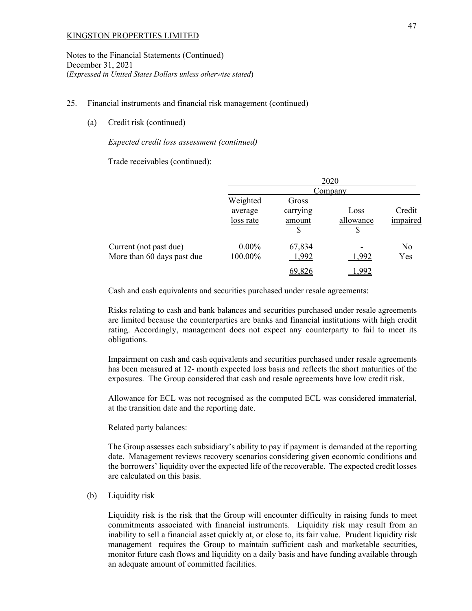Notes to the Financial Statements (Continued) December 31, 2021 (*Expressed in United States Dollars unless otherwise stated*)

#### 25. Financial instruments and financial risk management (continued)

(a) Credit risk (continued)

#### *Expected credit loss assessment (continued)*

Trade receivables (continued):

|                                                      | 2020                             |                                   |                         |                    |  |  |
|------------------------------------------------------|----------------------------------|-----------------------------------|-------------------------|--------------------|--|--|
|                                                      | Company                          |                                   |                         |                    |  |  |
|                                                      | Weighted<br>average<br>loss rate | Gross<br>carrying<br>amount<br>\$ | Loss<br>allowance<br>\$ | Credit<br>impaired |  |  |
| Current (not past due)<br>More than 60 days past due | $0.00\%$<br>100.00%              | 67,834<br>1,992                   | 1,992                   | No<br>Yes          |  |  |
|                                                      |                                  | 69,826                            | -992                    |                    |  |  |

Cash and cash equivalents and securities purchased under resale agreements:

Risks relating to cash and bank balances and securities purchased under resale agreements are limited because the counterparties are banks and financial institutions with high credit rating. Accordingly, management does not expect any counterparty to fail to meet its obligations.

Impairment on cash and cash equivalents and securities purchased under resale agreements has been measured at 12- month expected loss basis and reflects the short maturities of the exposures. The Group considered that cash and resale agreements have low credit risk.

 Allowance for ECL was not recognised as the computed ECL was considered immaterial, at the transition date and the reporting date.

Related party balances:

 The Group assesses each subsidiary's ability to pay if payment is demanded at the reporting date. Management reviews recovery scenarios considering given economic conditions and the borrowers' liquidity over the expected life of the recoverable. The expected credit losses are calculated on this basis.

### (b) Liquidity risk

Liquidity risk is the risk that the Group will encounter difficulty in raising funds to meet commitments associated with financial instruments. Liquidity risk may result from an inability to sell a financial asset quickly at, or close to, its fair value. Prudent liquidity risk management requires the Group to maintain sufficient cash and marketable securities, monitor future cash flows and liquidity on a daily basis and have funding available through an adequate amount of committed facilities.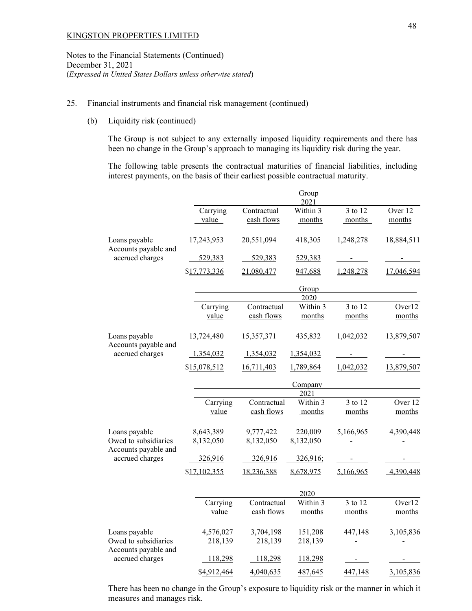Notes to the Financial Statements (Continued) December 31, 2021 (*Expressed in United States Dollars unless otherwise stated*)

### 25. Financial instruments and financial risk management (continued)

(b) Liquidity risk (continued)

The Group is not subject to any externally imposed liquidity requirements and there has been no change in the Group's approach to managing its liquidity risk during the year.

The following table presents the contractual maturities of financial liabilities, including interest payments, on the basis of their earliest possible contractual maturity.

|                                         |                        |                                                    | Group<br>2021              |                   |                   |  |  |  |
|-----------------------------------------|------------------------|----------------------------------------------------|----------------------------|-------------------|-------------------|--|--|--|
|                                         | Carrying<br>value      | Contractual<br>cash flows                          | Within 3<br>months         | 3 to 12<br>months | Over 12<br>months |  |  |  |
| Loans payable                           | 17,243,953             | 20,551,094                                         | 418,305                    | 1,248,278         | 18,884,511        |  |  |  |
| Accounts payable and<br>accrued charges | 529,383                | 529,383                                            |                            | $\sim$            | $\blacksquare$    |  |  |  |
|                                         | \$17,773,336           | 21,080,477                                         |                            | 1,248,278         | 17,046,594        |  |  |  |
|                                         |                        | Group                                              |                            |                   |                   |  |  |  |
|                                         | Carrying<br>value      | Contractual<br>cash flows                          | 2020<br>Within 3<br>months | 3 to 12<br>months | Over12<br>months  |  |  |  |
| Loans payable                           | 13,724,480             | 15,357,371                                         | 435,832                    | 1,042,032         | 13,879,507        |  |  |  |
| Accounts payable and<br>accrued charges | 1,354,032              | 1,354,032                                          | 1,354,032                  |                   |                   |  |  |  |
|                                         | \$15,078,512           | 16,711,403<br>1,789,864<br>1,042,032<br>13,879,507 |                            |                   |                   |  |  |  |
|                                         |                        | Company<br>2021                                    |                            |                   |                   |  |  |  |
|                                         | Carrying<br>value      | Contractual<br>cash flows                          | Within 3<br>months         | 3 to 12<br>months | Over 12<br>months |  |  |  |
| Loans payable<br>Owed to subsidiaries   | 8,643,389<br>8,132,050 | 9,777,422<br>8,132,050                             | 220,009<br>8,132,050       | 5,166,965         | 4,390,448         |  |  |  |
| Accounts payable and<br>accrued charges | 326,916                | 326,916                                            | 326,916;                   |                   |                   |  |  |  |
|                                         | \$17,102,355           | 18,236,388                                         | 8,678,975                  | 5,166,965         | 4,390,448         |  |  |  |
|                                         |                        |                                                    | 2020                       |                   |                   |  |  |  |
|                                         | Carrying<br>value      | Contractual<br>cash flows                          | Within 3<br>months         | 3 to 12<br>months | Over12<br>months  |  |  |  |
| Loans payable<br>Owed to subsidiaries   | 4,576,027<br>218,139   | 3,704,198<br>218,139                               | 151,208<br>218,139         | 447,148           | 3,105,836         |  |  |  |
| Accounts payable and<br>accrued charges | 118,298                | 118,298                                            | 118,298                    |                   |                   |  |  |  |
|                                         | \$4,912,464            | 4,040,635                                          | 487,645                    | 447,148           | 3,105,836         |  |  |  |

There has been no change in the Group's exposure to liquidity risk or the manner in which it measures and manages risk.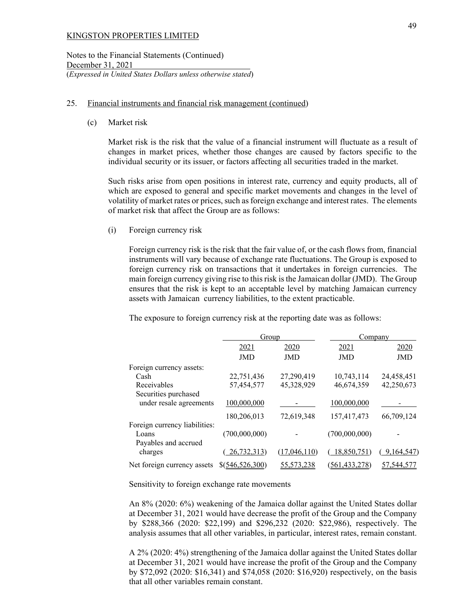Notes to the Financial Statements (Continued) December 31, 2021 (*Expressed in United States Dollars unless otherwise stated*)

## 25. Financial instruments and financial risk management (continued)

(c) Market risk

Market risk is the risk that the value of a financial instrument will fluctuate as a result of changes in market prices, whether those changes are caused by factors specific to the individual security or its issuer, or factors affecting all securities traded in the market.

Such risks arise from open positions in interest rate, currency and equity products, all of which are exposed to general and specific market movements and changes in the level of volatility of market rates or prices, such as foreign exchange and interest rates. The elements of market risk that affect the Group are as follows:

(i) Foreign currency risk

Foreign currency risk is the risk that the fair value of, or the cash flows from, financial instruments will vary because of exchange rate fluctuations. The Group is exposed to foreign currency risk on transactions that it undertakes in foreign currencies. The main foreign currency giving rise to this risk is the Jamaican dollar (JMD). The Group ensures that the risk is kept to an acceptable level by matching Jamaican currency assets with Jamaican currency liabilities, to the extent practicable.

The exposure to foreign currency risk at the reporting date was as follows:

|                               | Group           |              |                 | Company    |  |  |
|-------------------------------|-----------------|--------------|-----------------|------------|--|--|
|                               | 2021            | 2020         | 2021            | 2020       |  |  |
|                               | <b>JMD</b>      | <b>JMD</b>   | <b>JMD</b>      | JMD        |  |  |
| Foreign currency assets:      |                 |              |                 |            |  |  |
| Cash                          | 22,751,436      | 27,290,419   | 10,743,114      | 24,458,451 |  |  |
| Receivables                   | 57,454,577      | 45,328,929   | 46,674,359      | 42,250,673 |  |  |
| Securities purchased          |                 |              |                 |            |  |  |
| under resale agreements       | 100,000,000     |              | 100,000,000     |            |  |  |
|                               | 180,206,013     | 72,619,348   | 157,417,473     | 66,709,124 |  |  |
| Foreign currency liabilities: |                 |              |                 |            |  |  |
| Loans                         | (700,000,000)   |              | (700,000,000)   |            |  |  |
| Payables and accrued          |                 |              |                 |            |  |  |
| charges                       | 26,732,313)     | (17,046,110) | 18,850,751)     | 9,164,547) |  |  |
| Net foreign currency assets   | \$(546,526,300) | 55,573,238   | (561, 433, 278) | 57,544,577 |  |  |

Sensitivity to foreign exchange rate movements

An 8% (2020: 6%) weakening of the Jamaica dollar against the United States dollar at December 31, 2021 would have decrease the profit of the Group and the Company by \$288,366 (2020: \$22,199) and \$296,232 (2020: \$22,986), respectively. The analysis assumes that all other variables, in particular, interest rates, remain constant.

A 2% (2020: 4%) strengthening of the Jamaica dollar against the United States dollar at December 31, 2021 would have increase the profit of the Group and the Company by \$72,092 (2020: \$16,341) and \$74,058 (2020: \$16,920) respectively, on the basis that all other variables remain constant.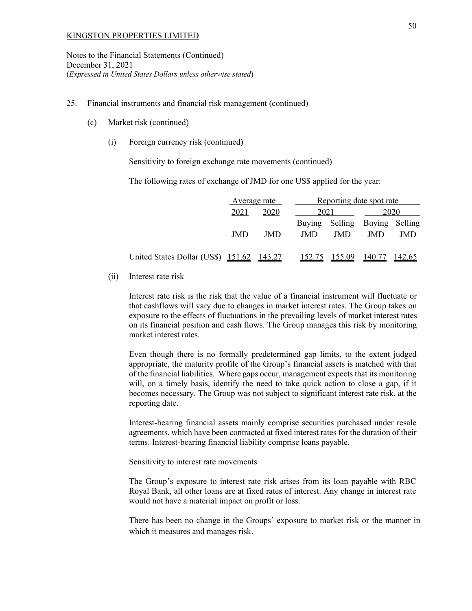Notes to the Financial Statements (Continued) December 31, 2021 (*Expressed in United States Dollars unless otherwise stated*)

#### 25. Financial instruments and financial risk management (continued)

- (c) Market risk (continued)
	- (i) Foreign currency risk (continued)

Sensitivity to foreign exchange rate movements (continued)

The following rates of exchange of JMD for one US\$ applied for the year:

|                                           | Average rate |            |            |            | Reporting date spot rate |         |
|-------------------------------------------|--------------|------------|------------|------------|--------------------------|---------|
|                                           | 2021         | 2020       | 2021       |            | 2020                     |         |
|                                           |              |            | Buying     | Selling    | Buying                   | Selling |
|                                           | <b>JMD</b>   | <b>JMD</b> | <b>JMD</b> | <b>JMD</b> | JMD                      | JMD     |
| United States Dollar (US\$) 151.62 143.27 |              |            | 152.75     | 155.09     | 140.77                   | 142.65  |

(ii) Interest rate risk

Interest rate risk is the risk that the value of a financial instrument will fluctuate or that cashflows will vary due to changes in market interest rates. The Group takes on exposure to the effects of fluctuations in the prevailing levels of market interest rates on its financial position and cash flows. The Group manages this risk by monitoring market interest rates.

Even though there is no formally predetermined gap limits, to the extent judged appropriate, the maturity profile of the Group's financial assets is matched with that of the financial liabilities. Where gaps occur, management expects that its monitoring will, on a timely basis, identify the need to take quick action to close a gap, if it becomes necessary. The Group was not subject to significant interest rate risk, at the reporting date.

Interest-bearing financial assets mainly comprise securities purchased under resale agreements, which have been contracted at fixed interest rates for the duration of their terms. Interest-bearing financial liability comprise loans payable.

Sensitivity to interest rate movements

The Group's exposure to interest rate risk arises from its loan payable with RBC Royal Bank, all other loans are at fixed rates of interest. Any change in interest rate would not have a material impact on profit or loss.

There has been no change in the Groups' exposure to market risk or the manner in which it measures and manages risk.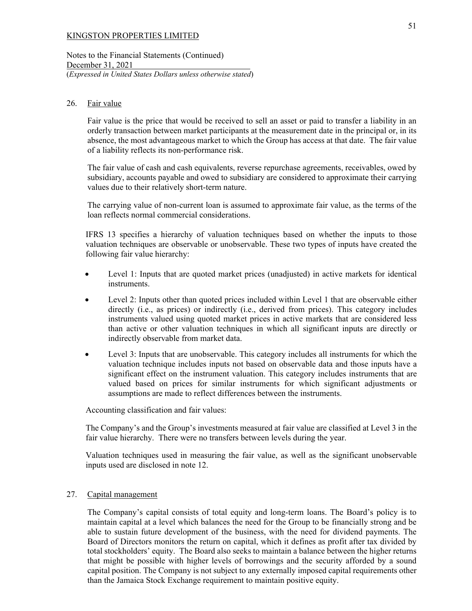Notes to the Financial Statements (Continued) December 31, 2021 (*Expressed in United States Dollars unless otherwise stated*)

#### 26. Fair value

Fair value is the price that would be received to sell an asset or paid to transfer a liability in an orderly transaction between market participants at the measurement date in the principal or, in its absence, the most advantageous market to which the Group has access at that date. The fair value of a liability reflects its non-performance risk.

The fair value of cash and cash equivalents, reverse repurchase agreements, receivables, owed by subsidiary, accounts payable and owed to subsidiary are considered to approximate their carrying values due to their relatively short-term nature.

The carrying value of non-current loan is assumed to approximate fair value, as the terms of the loan reflects normal commercial considerations.

IFRS 13 specifies a hierarchy of valuation techniques based on whether the inputs to those valuation techniques are observable or unobservable. These two types of inputs have created the following fair value hierarchy:

- Level 1: Inputs that are quoted market prices (unadjusted) in active markets for identical instruments.
- Level 2: Inputs other than quoted prices included within Level 1 that are observable either directly (i.e., as prices) or indirectly (i.e., derived from prices). This category includes instruments valued using quoted market prices in active markets that are considered less than active or other valuation techniques in which all significant inputs are directly or indirectly observable from market data.
- Level 3: Inputs that are unobservable. This category includes all instruments for which the valuation technique includes inputs not based on observable data and those inputs have a significant effect on the instrument valuation. This category includes instruments that are valued based on prices for similar instruments for which significant adjustments or assumptions are made to reflect differences between the instruments.

Accounting classification and fair values:

The Company's and the Group's investments measured at fair value are classified at Level 3 in the fair value hierarchy. There were no transfers between levels during the year.

Valuation techniques used in measuring the fair value, as well as the significant unobservable inputs used are disclosed in note 12.

#### 27. Capital management

The Company's capital consists of total equity and long-term loans. The Board's policy is to maintain capital at a level which balances the need for the Group to be financially strong and be able to sustain future development of the business, with the need for dividend payments. The Board of Directors monitors the return on capital, which it defines as profit after tax divided by total stockholders' equity. The Board also seeks to maintain a balance between the higher returns that might be possible with higher levels of borrowings and the security afforded by a sound capital position. The Company is not subject to any externally imposed capital requirements other than the Jamaica Stock Exchange requirement to maintain positive equity.